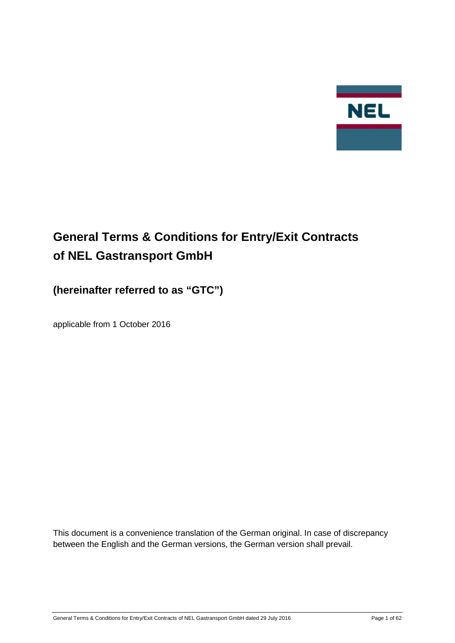

# **General Terms & Conditions for Entry/Exit Contracts of NEL Gastransport GmbH**

## **(hereinafter referred to as "GTC")**

applicable from 1 October 2016

This document is a convenience translation of the German original. In case of discrepancy between the English and the German versions, the German version shall prevail.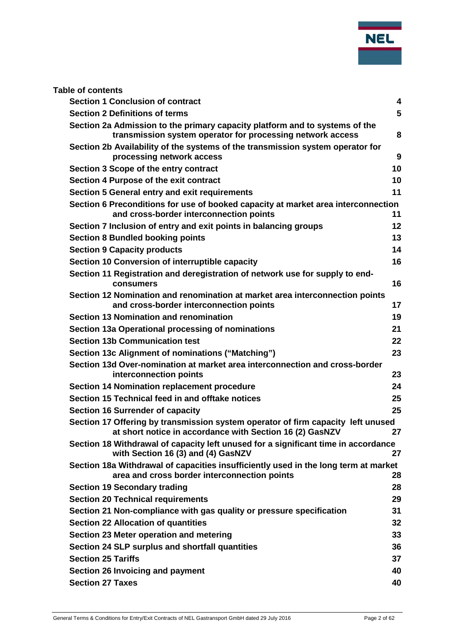

| <b>Section 1 Conclusion of contract</b>                                                                                                      | $\overline{\mathbf{4}}$ |
|----------------------------------------------------------------------------------------------------------------------------------------------|-------------------------|
| <b>Section 2 Definitions of terms</b>                                                                                                        | 5                       |
| Section 2a Admission to the primary capacity platform and to systems of the<br>transmission system operator for processing network access    | 8                       |
| Section 2b Availability of the systems of the transmission system operator for                                                               |                         |
| processing network access                                                                                                                    | 9                       |
| Section 3 Scope of the entry contract                                                                                                        | 10                      |
| Section 4 Purpose of the exit contract                                                                                                       | 10                      |
| Section 5 General entry and exit requirements                                                                                                | 11                      |
| Section 6 Preconditions for use of booked capacity at market area interconnection<br>and cross-border interconnection points                 | 11                      |
| Section 7 Inclusion of entry and exit points in balancing groups                                                                             | 12                      |
| <b>Section 8 Bundled booking points</b>                                                                                                      | 13                      |
| <b>Section 9 Capacity products</b>                                                                                                           | 14                      |
| Section 10 Conversion of interruptible capacity                                                                                              | 16                      |
| Section 11 Registration and deregistration of network use for supply to end-<br>consumers                                                    | 16                      |
| Section 12 Nomination and renomination at market area interconnection points<br>and cross-border interconnection points                      | 17                      |
| <b>Section 13 Nomination and renomination</b>                                                                                                | 19                      |
| Section 13a Operational processing of nominations                                                                                            | 21                      |
| <b>Section 13b Communication test</b>                                                                                                        | 22                      |
| Section 13c Alignment of nominations ("Matching")                                                                                            | 23                      |
| Section 13d Over-nomination at market area interconnection and cross-border<br>interconnection points                                        | 23                      |
| <b>Section 14 Nomination replacement procedure</b>                                                                                           | 24                      |
| Section 15 Technical feed in and offtake notices                                                                                             | 25                      |
| <b>Section 16 Surrender of capacity</b>                                                                                                      | 25                      |
| Section 17 Offering by transmission system operator of firm capacity left unused<br>at short notice in accordance with Section 16 (2) GasNZV | 27                      |
| Section 18 Withdrawal of capacity left unused for a significant time in accordance<br>with Section 16 (3) and (4) GasNZV                     | 27                      |
| Section 18a Withdrawal of capacities insufficiently used in the long term at market<br>area and cross border interconnection points          | 28                      |
| <b>Section 19 Secondary trading</b>                                                                                                          | 28                      |
| <b>Section 20 Technical requirements</b>                                                                                                     | 29                      |
| Section 21 Non-compliance with gas quality or pressure specification                                                                         | 31                      |
| <b>Section 22 Allocation of quantities</b>                                                                                                   | 32                      |
| Section 23 Meter operation and metering                                                                                                      | 33                      |
| Section 24 SLP surplus and shortfall quantities                                                                                              | 36                      |
| <b>Section 25 Tariffs</b>                                                                                                                    | 37                      |
| Section 26 Invoicing and payment                                                                                                             | 40                      |
| <b>Section 27 Taxes</b>                                                                                                                      | 40                      |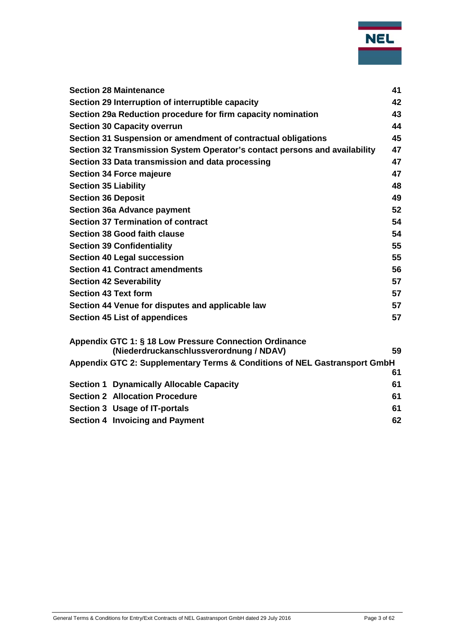

|                             | <b>Section 28 Maintenance</b>                                              | 41 |
|-----------------------------|----------------------------------------------------------------------------|----|
|                             | Section 29 Interruption of interruptible capacity                          | 42 |
|                             | Section 29a Reduction procedure for firm capacity nomination               | 43 |
|                             | <b>Section 30 Capacity overrun</b>                                         | 44 |
|                             | Section 31 Suspension or amendment of contractual obligations              | 45 |
|                             | Section 32 Transmission System Operator's contact persons and availability | 47 |
|                             | Section 33 Data transmission and data processing                           | 47 |
|                             | <b>Section 34 Force majeure</b>                                            | 47 |
| <b>Section 35 Liability</b> |                                                                            | 48 |
| <b>Section 36 Deposit</b>   |                                                                            | 49 |
|                             | <b>Section 36a Advance payment</b>                                         | 52 |
|                             | <b>Section 37 Termination of contract</b>                                  | 54 |
|                             | <b>Section 38 Good faith clause</b>                                        | 54 |
|                             | <b>Section 39 Confidentiality</b>                                          | 55 |
|                             | <b>Section 40 Legal succession</b>                                         | 55 |
|                             | <b>Section 41 Contract amendments</b>                                      | 56 |
|                             | <b>Section 42 Severability</b>                                             | 57 |
|                             | <b>Section 43 Text form</b>                                                | 57 |
|                             | Section 44 Venue for disputes and applicable law                           | 57 |
|                             | Section 45 List of appendices                                              | 57 |
|                             | Appendix GTC 1: § 18 Low Pressure Connection Ordinance                     |    |
|                             | (Niederdruckanschlussverordnung / NDAV)                                    | 59 |
|                             | Appendix GTC 2: Supplementary Terms & Conditions of NEL Gastransport GmbH  |    |
|                             |                                                                            | 61 |
|                             | <b>Section 1 Dynamically Allocable Capacity</b>                            | 61 |
|                             | <b>Section 2 Allocation Procedure</b>                                      | 61 |
|                             | Section 3 Usage of IT-portals                                              | 61 |
|                             | <b>Section 4 Invoicing and Payment</b>                                     | 62 |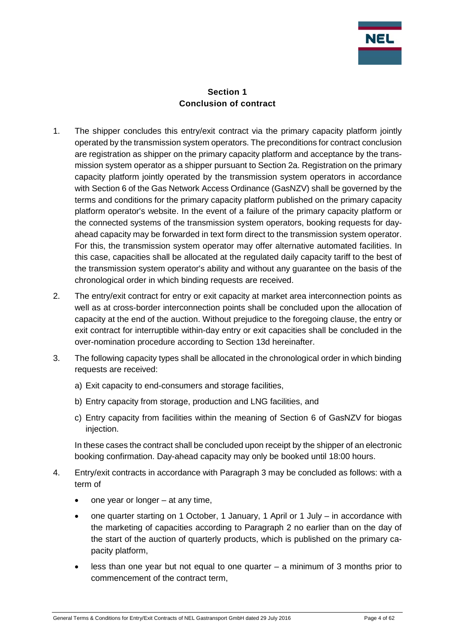

#### **Section 1 Conclusion of contract**

- <span id="page-3-0"></span>1. The shipper concludes this entry/exit contract via the primary capacity platform jointly operated by the transmission system operators. The preconditions for contract conclusion are registration as shipper on the primary capacity platform and acceptance by the transmission system operator as a shipper pursuant to Section 2a. Registration on the primary capacity platform jointly operated by the transmission system operators in accordance with Section 6 of the Gas Network Access Ordinance (GasNZV) shall be governed by the terms and conditions for the primary capacity platform published on the primary capacity platform operator's website. In the event of a failure of the primary capacity platform or the connected systems of the transmission system operators, booking requests for dayahead capacity may be forwarded in text form direct to the transmission system operator. For this, the transmission system operator may offer alternative automated facilities. In this case, capacities shall be allocated at the regulated daily capacity tariff to the best of the transmission system operator's ability and without any guarantee on the basis of the chronological order in which binding requests are received.
- 2. The entry/exit contract for entry or exit capacity at market area interconnection points as well as at cross-border interconnection points shall be concluded upon the allocation of capacity at the end of the auction. Without prejudice to the foregoing clause, the entry or exit contract for interruptible within-day entry or exit capacities shall be concluded in the over-nomination procedure according to Section 13d hereinafter.
- 3. The following capacity types shall be allocated in the chronological order in which binding requests are received:
	- a) Exit capacity to end-consumers and storage facilities,
	- b) Entry capacity from storage, production and LNG facilities, and
	- c) Entry capacity from facilities within the meaning of Section 6 of GasNZV for biogas injection.

In these cases the contract shall be concluded upon receipt by the shipper of an electronic booking confirmation. Day-ahead capacity may only be booked until 18:00 hours.

- 4. Entry/exit contracts in accordance with Paragraph 3 may be concluded as follows: with a term of
	- one year or longer  $-$  at any time,
	- one quarter starting on 1 October, 1 January, 1 April or 1 July in accordance with the marketing of capacities according to Paragraph 2 no earlier than on the day of the start of the auction of quarterly products, which is published on the primary capacity platform,
	- less than one year but not equal to one quarter a minimum of 3 months prior to commencement of the contract term,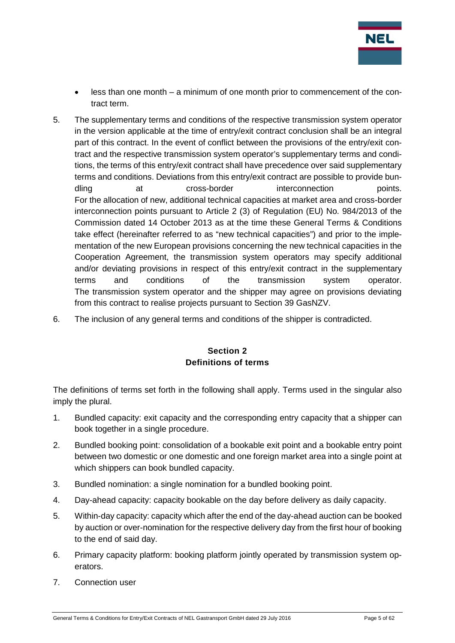

- less than one month a minimum of one month prior to commencement of the contract term.
- 5. The supplementary terms and conditions of the respective transmission system operator in the version applicable at the time of entry/exit contract conclusion shall be an integral part of this contract. In the event of conflict between the provisions of the entry/exit contract and the respective transmission system operator's supplementary terms and conditions, the terms of this entry/exit contract shall have precedence over said supplementary terms and conditions. Deviations from this entry/exit contract are possible to provide bundling at cross-border interconnection points. For the allocation of new, additional technical capacities at market area and cross-border interconnection points pursuant to Article 2 (3) of Regulation (EU) No. 984/2013 of the Commission dated 14 October 2013 as at the time these General Terms & Conditions take effect (hereinafter referred to as "new technical capacities") and prior to the implementation of the new European provisions concerning the new technical capacities in the Cooperation Agreement, the transmission system operators may specify additional and/or deviating provisions in respect of this entry/exit contract in the supplementary terms and conditions of the transmission system operator. The transmission system operator and the shipper may agree on provisions deviating from this contract to realise projects pursuant to Section 39 GasNZV.
- <span id="page-4-0"></span>6. The inclusion of any general terms and conditions of the shipper is contradicted.

## **Section 2 Definitions of terms**

The definitions of terms set forth in the following shall apply. Terms used in the singular also imply the plural.

- 1. Bundled capacity: exit capacity and the corresponding entry capacity that a shipper can book together in a single procedure.
- 2. Bundled booking point: consolidation of a bookable exit point and a bookable entry point between two domestic or one domestic and one foreign market area into a single point at which shippers can book bundled capacity.
- 3. Bundled nomination: a single nomination for a bundled booking point.
- 4. Day-ahead capacity: capacity bookable on the day before delivery as daily capacity.
- 5. Within-day capacity: capacity which after the end of the day-ahead auction can be booked by auction or over-nomination for the respective delivery day from the first hour of booking to the end of said day.
- 6. Primary capacity platform: booking platform jointly operated by transmission system operators.
- 7. Connection user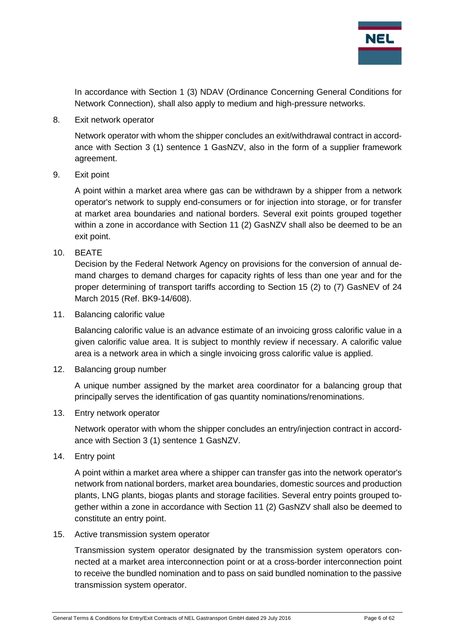

In accordance with Section 1 (3) NDAV (Ordinance Concerning General Conditions for Network Connection), shall also apply to medium and high-pressure networks.

8. Exit network operator

Network operator with whom the shipper concludes an exit/withdrawal contract in accordance with Section 3 (1) sentence 1 GasNZV, also in the form of a supplier framework agreement.

9. Exit point

A point within a market area where gas can be withdrawn by a shipper from a network operator's network to supply end-consumers or for injection into storage, or for transfer at market area boundaries and national borders. Several exit points grouped together within a zone in accordance with Section 11 (2) GasNZV shall also be deemed to be an exit point.

10. BEATE

Decision by the Federal Network Agency on provisions for the conversion of annual demand charges to demand charges for capacity rights of less than one year and for the proper determining of transport tariffs according to Section 15 (2) to (7) GasNEV of 24 March 2015 (Ref. BK9-14/608).

11. Balancing calorific value

Balancing calorific value is an advance estimate of an invoicing gross calorific value in a given calorific value area. It is subject to monthly review if necessary. A calorific value area is a network area in which a single invoicing gross calorific value is applied.

12. Balancing group number

A unique number assigned by the market area coordinator for a balancing group that principally serves the identification of gas quantity nominations/renominations.

13. Entry network operator

Network operator with whom the shipper concludes an entry/injection contract in accordance with Section 3 (1) sentence 1 GasNZV.

14. Entry point

A point within a market area where a shipper can transfer gas into the network operator's network from national borders, market area boundaries, domestic sources and production plants, LNG plants, biogas plants and storage facilities. Several entry points grouped together within a zone in accordance with Section 11 (2) GasNZV shall also be deemed to constitute an entry point.

15. Active transmission system operator

Transmission system operator designated by the transmission system operators connected at a market area interconnection point or at a cross-border interconnection point to receive the bundled nomination and to pass on said bundled nomination to the passive transmission system operator.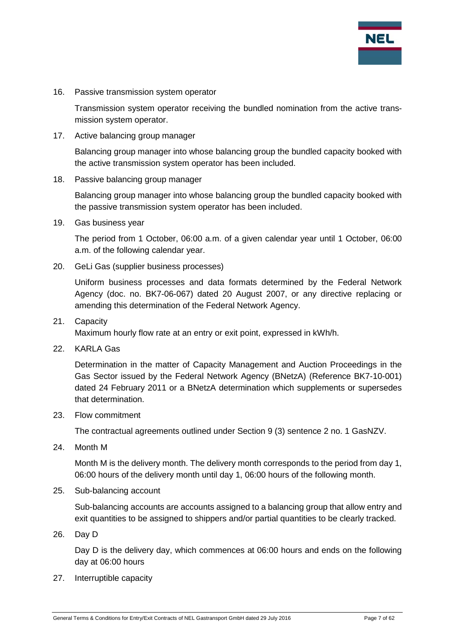

16. Passive transmission system operator

Transmission system operator receiving the bundled nomination from the active transmission system operator.

17. Active balancing group manager

Balancing group manager into whose balancing group the bundled capacity booked with the active transmission system operator has been included.

18. Passive balancing group manager

Balancing group manager into whose balancing group the bundled capacity booked with the passive transmission system operator has been included.

19. Gas business year

The period from 1 October, 06:00 a.m. of a given calendar year until 1 October, 06:00 a.m. of the following calendar year.

20. GeLi Gas (supplier business processes)

Uniform business processes and data formats determined by the Federal Network Agency (doc. no. BK7-06-067) dated 20 August 2007, or any directive replacing or amending this determination of the Federal Network Agency.

21. Capacity

Maximum hourly flow rate at an entry or exit point, expressed in kWh/h.

22. KARLA Gas

Determination in the matter of Capacity Management and Auction Proceedings in the Gas Sector issued by the Federal Network Agency (BNetzA) (Reference BK7-10-001) dated 24 February 2011 or a BNetzA determination which supplements or supersedes that determination.

23. Flow commitment

The contractual agreements outlined under Section 9 (3) sentence 2 no. 1 GasNZV.

24. Month M

Month M is the delivery month. The delivery month corresponds to the period from day 1, 06:00 hours of the delivery month until day 1, 06:00 hours of the following month.

25. Sub-balancing account

Sub-balancing accounts are accounts assigned to a balancing group that allow entry and exit quantities to be assigned to shippers and/or partial quantities to be clearly tracked.

26. Day D

Day D is the delivery day, which commences at 06:00 hours and ends on the following day at 06:00 hours

27. Interruptible capacity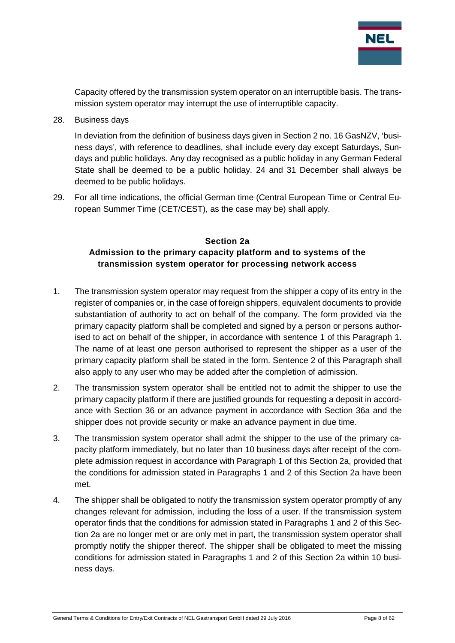

Capacity offered by the transmission system operator on an interruptible basis. The transmission system operator may interrupt the use of interruptible capacity.

28. Business days

In deviation from the definition of business days given in Section 2 no. 16 GasNZV, 'business days', with reference to deadlines, shall include every day except Saturdays, Sundays and public holidays. Any day recognised as a public holiday in any German Federal State shall be deemed to be a public holiday. 24 and 31 December shall always be deemed to be public holidays.

29. For all time indications, the official German time (Central European Time or Central European Summer Time (CET/CEST), as the case may be) shall apply.

### <span id="page-7-0"></span>**Section 2a Admission to the primary capacity platform and to systems of the transmission system operator for processing network access**

- 1. The transmission system operator may request from the shipper a copy of its entry in the register of companies or, in the case of foreign shippers, equivalent documents to provide substantiation of authority to act on behalf of the company. The form provided via the primary capacity platform shall be completed and signed by a person or persons authorised to act on behalf of the shipper, in accordance with sentence 1 of this Paragraph 1. The name of at least one person authorised to represent the shipper as a user of the primary capacity platform shall be stated in the form. Sentence 2 of this Paragraph shall also apply to any user who may be added after the completion of admission.
- 2. The transmission system operator shall be entitled not to admit the shipper to use the primary capacity platform if there are justified grounds for requesting a deposit in accordance with Section 36 or an advance payment in accordance with Section 36a and the shipper does not provide security or make an advance payment in due time.
- 3. The transmission system operator shall admit the shipper to the use of the primary capacity platform immediately, but no later than 10 business days after receipt of the complete admission request in accordance with Paragraph 1 of this Section 2a, provided that the conditions for admission stated in Paragraphs 1 and 2 of this Section 2a have been met.
- 4. The shipper shall be obligated to notify the transmission system operator promptly of any changes relevant for admission, including the loss of a user. If the transmission system operator finds that the conditions for admission stated in Paragraphs 1 and 2 of this Section 2a are no longer met or are only met in part, the transmission system operator shall promptly notify the shipper thereof. The shipper shall be obligated to meet the missing conditions for admission stated in Paragraphs 1 and 2 of this Section 2a within 10 business days.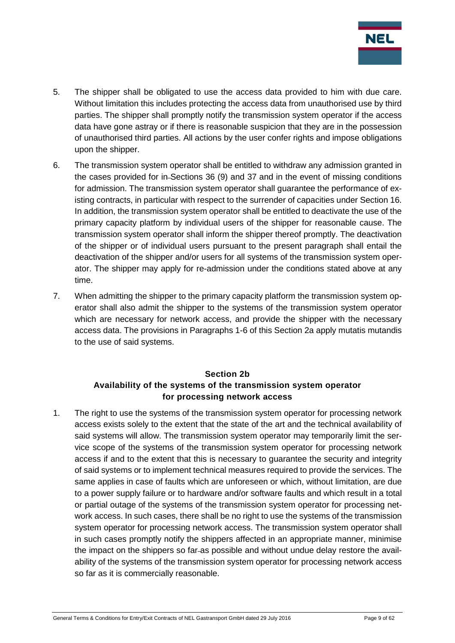

- 5. The shipper shall be obligated to use the access data provided to him with due care. Without limitation this includes protecting the access data from unauthorised use by third parties. The shipper shall promptly notify the transmission system operator if the access data have gone astray or if there is reasonable suspicion that they are in the possession of unauthorised third parties. All actions by the user confer rights and impose obligations upon the shipper.
- 6. The transmission system operator shall be entitled to withdraw any admission granted in the cases provided for in Sections 36 (9) and 37 and in the event of missing conditions for admission. The transmission system operator shall guarantee the performance of existing contracts, in particular with respect to the surrender of capacities under Section 16. In addition, the transmission system operator shall be entitled to deactivate the use of the primary capacity platform by individual users of the shipper for reasonable cause. The transmission system operator shall inform the shipper thereof promptly. The deactivation of the shipper or of individual users pursuant to the present paragraph shall entail the deactivation of the shipper and/or users for all systems of the transmission system operator. The shipper may apply for re-admission under the conditions stated above at any time.
- 7. When admitting the shipper to the primary capacity platform the transmission system operator shall also admit the shipper to the systems of the transmission system operator which are necessary for network access, and provide the shipper with the necessary access data. The provisions in Paragraphs 1-6 of this Section 2a apply mutatis mutandis to the use of said systems.

## **Section 2b Availability of the systems of the transmission system operator for processing network access**

<span id="page-8-0"></span>1. The right to use the systems of the transmission system operator for processing network access exists solely to the extent that the state of the art and the technical availability of said systems will allow. The transmission system operator may temporarily limit the service scope of the systems of the transmission system operator for processing network access if and to the extent that this is necessary to guarantee the security and integrity of said systems or to implement technical measures required to provide the services. The same applies in case of faults which are unforeseen or which, without limitation, are due to a power supply failure or to hardware and/or software faults and which result in a total or partial outage of the systems of the transmission system operator for processing network access. In such cases, there shall be no right to use the systems of the transmission system operator for processing network access. The transmission system operator shall in such cases promptly notify the shippers affected in an appropriate manner, minimise the impact on the shippers so far-as possible and without undue delay restore the availability of the systems of the transmission system operator for processing network access so far as it is commercially reasonable.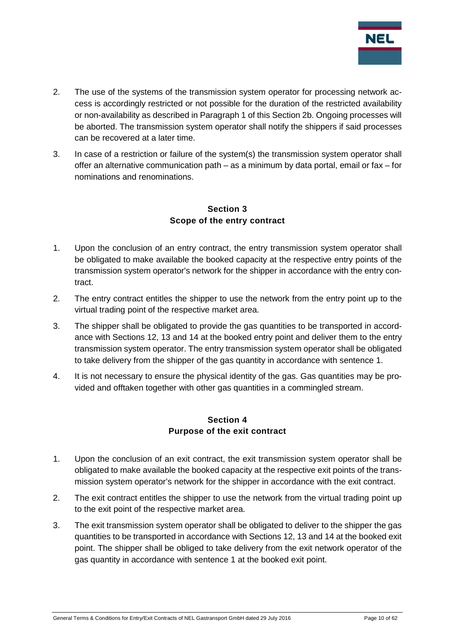

- 2. The use of the systems of the transmission system operator for processing network access is accordingly restricted or not possible for the duration of the restricted availability or non-availability as described in Paragraph 1 of this Section 2b. Ongoing processes will be aborted. The transmission system operator shall notify the shippers if said processes can be recovered at a later time.
- 3. In case of a restriction or failure of the system(s) the transmission system operator shall offer an alternative communication path – as a minimum by data portal, email or fax – for nominations and renominations.

## **Section 3 Scope of the entry contract**

- <span id="page-9-0"></span>1. Upon the conclusion of an entry contract, the entry transmission system operator shall be obligated to make available the booked capacity at the respective entry points of the transmission system operator's network for the shipper in accordance with the entry contract.
- 2. The entry contract entitles the shipper to use the network from the entry point up to the virtual trading point of the respective market area.
- 3. The shipper shall be obligated to provide the gas quantities to be transported in accordance with Sections 12, 13 and 14 at the booked entry point and deliver them to the entry transmission system operator. The entry transmission system operator shall be obligated to take delivery from the shipper of the gas quantity in accordance with sentence 1.
- 4. It is not necessary to ensure the physical identity of the gas. Gas quantities may be provided and offtaken together with other gas quantities in a commingled stream.

#### **Section 4 Purpose of the exit contract**

- <span id="page-9-1"></span>1. Upon the conclusion of an exit contract, the exit transmission system operator shall be obligated to make available the booked capacity at the respective exit points of the transmission system operator's network for the shipper in accordance with the exit contract.
- 2. The exit contract entitles the shipper to use the network from the virtual trading point up to the exit point of the respective market area.
- 3. The exit transmission system operator shall be obligated to deliver to the shipper the gas quantities to be transported in accordance with Sections 12, 13 and 14 at the booked exit point. The shipper shall be obliged to take delivery from the exit network operator of the gas quantity in accordance with sentence 1 at the booked exit point.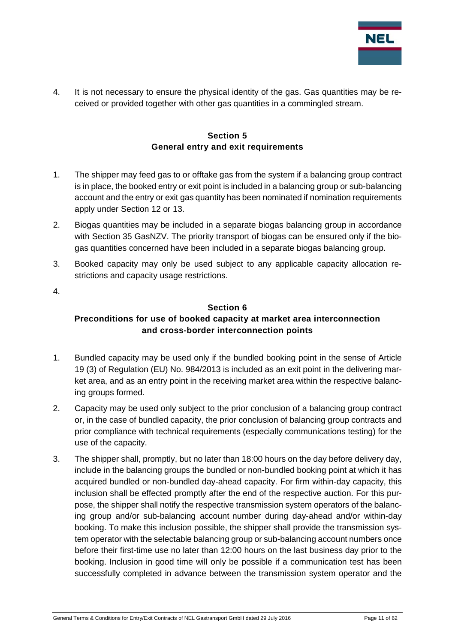

4. It is not necessary to ensure the physical identity of the gas. Gas quantities may be received or provided together with other gas quantities in a commingled stream.

#### **Section 5 General entry and exit requirements**

- <span id="page-10-0"></span>1. The shipper may feed gas to or offtake gas from the system if a balancing group contract is in place, the booked entry or exit point is included in a balancing group or sub-balancing account and the entry or exit gas quantity has been nominated if nomination requirements apply under Section 12 or 13.
- 2. Biogas quantities may be included in a separate biogas balancing group in accordance with Section 35 GasNZV. The priority transport of biogas can be ensured only if the biogas quantities concerned have been included in a separate biogas balancing group.
- 3. Booked capacity may only be used subject to any applicable capacity allocation restrictions and capacity usage restrictions.
- <span id="page-10-1"></span>4.

#### **Section 6**

## **Preconditions for use of booked capacity at market area interconnection and cross-border interconnection points**

- 1. Bundled capacity may be used only if the bundled booking point in the sense of Article 19 (3) of Regulation (EU) No. 984/2013 is included as an exit point in the delivering market area, and as an entry point in the receiving market area within the respective balancing groups formed.
- 2. Capacity may be used only subject to the prior conclusion of a balancing group contract or, in the case of bundled capacity, the prior conclusion of balancing group contracts and prior compliance with technical requirements (especially communications testing) for the use of the capacity.
- 3. The shipper shall, promptly, but no later than 18:00 hours on the day before delivery day, include in the balancing groups the bundled or non-bundled booking point at which it has acquired bundled or non-bundled day-ahead capacity. For firm within-day capacity, this inclusion shall be effected promptly after the end of the respective auction. For this purpose, the shipper shall notify the respective transmission system operators of the balancing group and/or sub-balancing account number during day-ahead and/or within-day booking. To make this inclusion possible, the shipper shall provide the transmission system operator with the selectable balancing group or sub-balancing account numbers once before their first-time use no later than 12:00 hours on the last business day prior to the booking. Inclusion in good time will only be possible if a communication test has been successfully completed in advance between the transmission system operator and the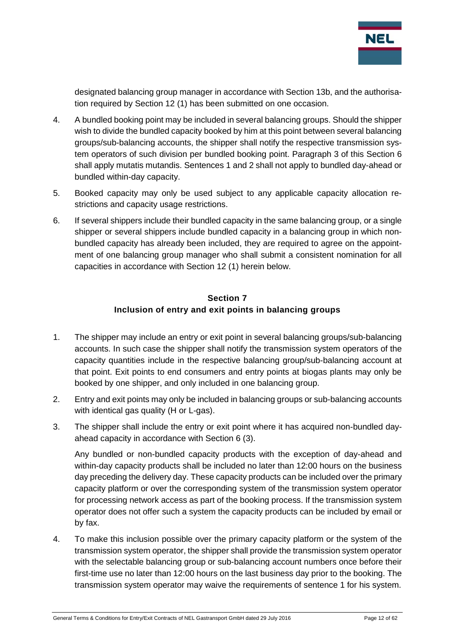

designated balancing group manager in accordance with Section 13b, and the authorisation required by Section 12 (1) has been submitted on one occasion.

- 4. A bundled booking point may be included in several balancing groups. Should the shipper wish to divide the bundled capacity booked by him at this point between several balancing groups/sub-balancing accounts, the shipper shall notify the respective transmission system operators of such division per bundled booking point. Paragraph 3 of this Section 6 shall apply mutatis mutandis. Sentences 1 and 2 shall not apply to bundled day-ahead or bundled within-day capacity.
- 5. Booked capacity may only be used subject to any applicable capacity allocation restrictions and capacity usage restrictions.
- 6. If several shippers include their bundled capacity in the same balancing group, or a single shipper or several shippers include bundled capacity in a balancing group in which nonbundled capacity has already been included, they are required to agree on the appointment of one balancing group manager who shall submit a consistent nomination for all capacities in accordance with Section 12 (1) herein below.

#### **Section 7 Inclusion of entry and exit points in balancing groups**

- <span id="page-11-0"></span>1. The shipper may include an entry or exit point in several balancing groups/sub-balancing accounts. In such case the shipper shall notify the transmission system operators of the capacity quantities include in the respective balancing group/sub-balancing account at that point. Exit points to end consumers and entry points at biogas plants may only be booked by one shipper, and only included in one balancing group.
- 2. Entry and exit points may only be included in balancing groups or sub-balancing accounts with identical gas quality (H or L-gas).
- 3. The shipper shall include the entry or exit point where it has acquired non-bundled dayahead capacity in accordance with Section 6 (3).

Any bundled or non-bundled capacity products with the exception of day-ahead and within-day capacity products shall be included no later than 12:00 hours on the business day preceding the delivery day. These capacity products can be included over the primary capacity platform or over the corresponding system of the transmission system operator for processing network access as part of the booking process. If the transmission system operator does not offer such a system the capacity products can be included by email or by fax.

4. To make this inclusion possible over the primary capacity platform or the system of the transmission system operator, the shipper shall provide the transmission system operator with the selectable balancing group or sub-balancing account numbers once before their first-time use no later than 12:00 hours on the last business day prior to the booking. The transmission system operator may waive the requirements of sentence 1 for his system.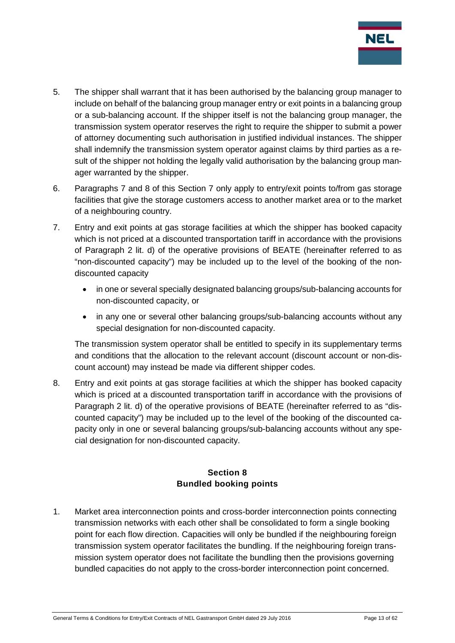

- 5. The shipper shall warrant that it has been authorised by the balancing group manager to include on behalf of the balancing group manager entry or exit points in a balancing group or a sub-balancing account. If the shipper itself is not the balancing group manager, the transmission system operator reserves the right to require the shipper to submit a power of attorney documenting such authorisation in justified individual instances. The shipper shall indemnify the transmission system operator against claims by third parties as a result of the shipper not holding the legally valid authorisation by the balancing group manager warranted by the shipper.
- 6. Paragraphs 7 and 8 of this Section 7 only apply to entry/exit points to/from gas storage facilities that give the storage customers access to another market area or to the market of a neighbouring country.
- 7. Entry and exit points at gas storage facilities at which the shipper has booked capacity which is not priced at a discounted transportation tariff in accordance with the provisions of Paragraph 2 lit. d) of the operative provisions of BEATE (hereinafter referred to as "non-discounted capacity") may be included up to the level of the booking of the nondiscounted capacity
	- in one or several specially designated balancing groups/sub-balancing accounts for non-discounted capacity, or
	- in any one or several other balancing groups/sub-balancing accounts without any special designation for non-discounted capacity.

The transmission system operator shall be entitled to specify in its supplementary terms and conditions that the allocation to the relevant account (discount account or non-discount account) may instead be made via different shipper codes.

8. Entry and exit points at gas storage facilities at which the shipper has booked capacity which is priced at a discounted transportation tariff in accordance with the provisions of Paragraph 2 lit. d) of the operative provisions of BEATE (hereinafter referred to as "discounted capacity") may be included up to the level of the booking of the discounted capacity only in one or several balancing groups/sub-balancing accounts without any special designation for non-discounted capacity.

## **Section 8 Bundled booking points**

<span id="page-12-0"></span>1. Market area interconnection points and cross-border interconnection points connecting transmission networks with each other shall be consolidated to form a single booking point for each flow direction. Capacities will only be bundled if the neighbouring foreign transmission system operator facilitates the bundling. If the neighbouring foreign transmission system operator does not facilitate the bundling then the provisions governing bundled capacities do not apply to the cross-border interconnection point concerned.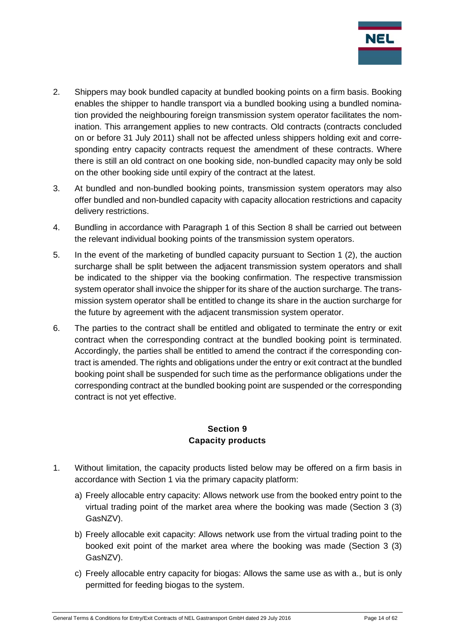

- 2. Shippers may book bundled capacity at bundled booking points on a firm basis. Booking enables the shipper to handle transport via a bundled booking using a bundled nomination provided the neighbouring foreign transmission system operator facilitates the nomination. This arrangement applies to new contracts. Old contracts (contracts concluded on or before 31 July 2011) shall not be affected unless shippers holding exit and corresponding entry capacity contracts request the amendment of these contracts. Where there is still an old contract on one booking side, non-bundled capacity may only be sold on the other booking side until expiry of the contract at the latest.
- 3. At bundled and non-bundled booking points, transmission system operators may also offer bundled and non-bundled capacity with capacity allocation restrictions and capacity delivery restrictions.
- 4. Bundling in accordance with Paragraph 1 of this Section 8 shall be carried out between the relevant individual booking points of the transmission system operators.
- 5. In the event of the marketing of bundled capacity pursuant to Section 1 (2), the auction surcharge shall be split between the adjacent transmission system operators and shall be indicated to the shipper via the booking confirmation. The respective transmission system operator shall invoice the shipper for its share of the auction surcharge. The transmission system operator shall be entitled to change its share in the auction surcharge for the future by agreement with the adjacent transmission system operator.
- 6. The parties to the contract shall be entitled and obligated to terminate the entry or exit contract when the corresponding contract at the bundled booking point is terminated. Accordingly, the parties shall be entitled to amend the contract if the corresponding contract is amended. The rights and obligations under the entry or exit contract at the bundled booking point shall be suspended for such time as the performance obligations under the corresponding contract at the bundled booking point are suspended or the corresponding contract is not yet effective.

#### **Section 9 Capacity products**

- <span id="page-13-0"></span>1. Without limitation, the capacity products listed below may be offered on a firm basis in accordance with Section 1 via the primary capacity platform:
	- a) Freely allocable entry capacity: Allows network use from the booked entry point to the virtual trading point of the market area where the booking was made (Section 3 (3) GasNZV).
	- b) Freely allocable exit capacity: Allows network use from the virtual trading point to the booked exit point of the market area where the booking was made (Section 3 (3) GasNZV).
	- c) Freely allocable entry capacity for biogas: Allows the same use as with a., but is only permitted for feeding biogas to the system.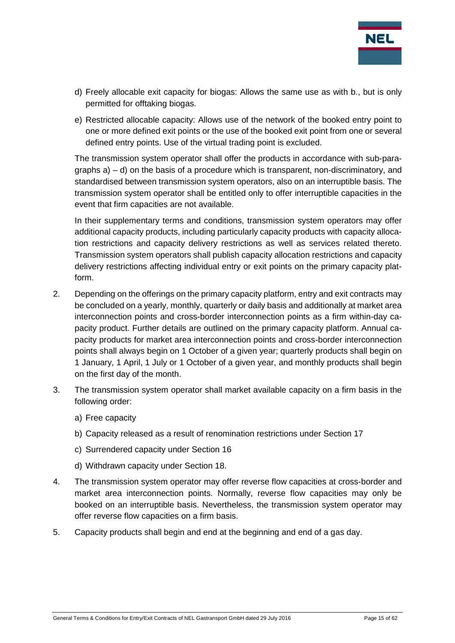

- d) Freely allocable exit capacity for biogas: Allows the same use as with b., but is only permitted for offtaking biogas.
- e) Restricted allocable capacity: Allows use of the network of the booked entry point to one or more defined exit points or the use of the booked exit point from one or several defined entry points. Use of the virtual trading point is excluded.

The transmission system operator shall offer the products in accordance with sub-paragraphs a) – d) on the basis of a procedure which is transparent, non-discriminatory, and standardised between transmission system operators, also on an interruptible basis. The transmission system operator shall be entitled only to offer interruptible capacities in the event that firm capacities are not available.

In their supplementary terms and conditions, transmission system operators may offer additional capacity products, including particularly capacity products with capacity allocation restrictions and capacity delivery restrictions as well as services related thereto. Transmission system operators shall publish capacity allocation restrictions and capacity delivery restrictions affecting individual entry or exit points on the primary capacity platform.

- 2. Depending on the offerings on the primary capacity platform, entry and exit contracts may be concluded on a yearly, monthly, quarterly or daily basis and additionally at market area interconnection points and cross-border interconnection points as a firm within-day capacity product. Further details are outlined on the primary capacity platform. Annual capacity products for market area interconnection points and cross-border interconnection points shall always begin on 1 October of a given year; quarterly products shall begin on 1 January, 1 April, 1 July or 1 October of a given year, and monthly products shall begin on the first day of the month.
- 3. The transmission system operator shall market available capacity on a firm basis in the following order:
	- a) Free capacity
	- b) Capacity released as a result of renomination restrictions under Section 17
	- c) Surrendered capacity under Section 16
	- d) Withdrawn capacity under Section 18.
- 4. The transmission system operator may offer reverse flow capacities at cross-border and market area interconnection points. Normally, reverse flow capacities may only be booked on an interruptible basis. Nevertheless, the transmission system operator may offer reverse flow capacities on a firm basis.
- 5. Capacity products shall begin and end at the beginning and end of a gas day.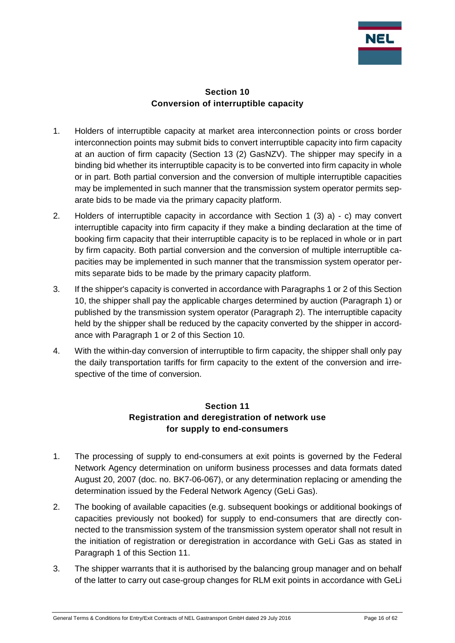

#### **Section 10 Conversion of interruptible capacity**

- <span id="page-15-0"></span>1. Holders of interruptible capacity at market area interconnection points or cross border interconnection points may submit bids to convert interruptible capacity into firm capacity at an auction of firm capacity (Section 13 (2) GasNZV). The shipper may specify in a binding bid whether its interruptible capacity is to be converted into firm capacity in whole or in part. Both partial conversion and the conversion of multiple interruptible capacities may be implemented in such manner that the transmission system operator permits separate bids to be made via the primary capacity platform.
- 2. Holders of interruptible capacity in accordance with Section 1 (3) a) c) may convert interruptible capacity into firm capacity if they make a binding declaration at the time of booking firm capacity that their interruptible capacity is to be replaced in whole or in part by firm capacity. Both partial conversion and the conversion of multiple interruptible capacities may be implemented in such manner that the transmission system operator permits separate bids to be made by the primary capacity platform.
- 3. If the shipper's capacity is converted in accordance with Paragraphs 1 or 2 of this Section 10, the shipper shall pay the applicable charges determined by auction (Paragraph 1) or published by the transmission system operator (Paragraph 2). The interruptible capacity held by the shipper shall be reduced by the capacity converted by the shipper in accordance with Paragraph 1 or 2 of this Section 10.
- 4. With the within-day conversion of interruptible to firm capacity, the shipper shall only pay the daily transportation tariffs for firm capacity to the extent of the conversion and irrespective of the time of conversion.

## **Section 11 Registration and deregistration of network use for supply to end-consumers**

- <span id="page-15-1"></span>1. The processing of supply to end-consumers at exit points is governed by the Federal Network Agency determination on uniform business processes and data formats dated August 20, 2007 (doc. no. BK7-06-067), or any determination replacing or amending the determination issued by the Federal Network Agency (GeLi Gas).
- 2. The booking of available capacities (e.g. subsequent bookings or additional bookings of capacities previously not booked) for supply to end-consumers that are directly connected to the transmission system of the transmission system operator shall not result in the initiation of registration or deregistration in accordance with GeLi Gas as stated in Paragraph 1 of this Section 11.
- 3. The shipper warrants that it is authorised by the balancing group manager and on behalf of the latter to carry out case-group changes for RLM exit points in accordance with GeLi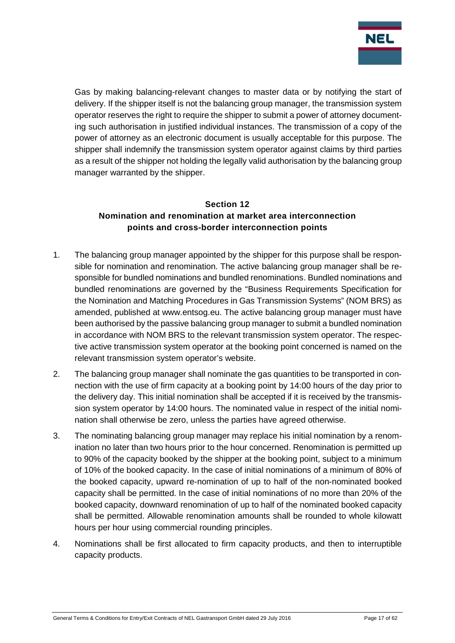

Gas by making balancing-relevant changes to master data or by notifying the start of delivery. If the shipper itself is not the balancing group manager, the transmission system operator reserves the right to require the shipper to submit a power of attorney documenting such authorisation in justified individual instances. The transmission of a copy of the power of attorney as an electronic document is usually acceptable for this purpose. The shipper shall indemnify the transmission system operator against claims by third parties as a result of the shipper not holding the legally valid authorisation by the balancing group manager warranted by the shipper.

#### <span id="page-16-0"></span>**Section 12 Nomination and renomination at market area interconnection points and cross-border interconnection points**

- 1. The balancing group manager appointed by the shipper for this purpose shall be responsible for nomination and renomination. The active balancing group manager shall be responsible for bundled nominations and bundled renominations. Bundled nominations and bundled renominations are governed by the "Business Requirements Specification for the Nomination and Matching Procedures in Gas Transmission Systems" (NOM BRS) as amended, published at www.entsog.eu. The active balancing group manager must have been authorised by the passive balancing group manager to submit a bundled nomination in accordance with NOM BRS to the relevant transmission system operator. The respective active transmission system operator at the booking point concerned is named on the relevant transmission system operator's website.
- 2. The balancing group manager shall nominate the gas quantities to be transported in connection with the use of firm capacity at a booking point by 14:00 hours of the day prior to the delivery day. This initial nomination shall be accepted if it is received by the transmission system operator by 14:00 hours. The nominated value in respect of the initial nomination shall otherwise be zero, unless the parties have agreed otherwise.
- 3. The nominating balancing group manager may replace his initial nomination by a renomination no later than two hours prior to the hour concerned. Renomination is permitted up to 90% of the capacity booked by the shipper at the booking point, subject to a minimum of 10% of the booked capacity. In the case of initial nominations of a minimum of 80% of the booked capacity, upward re-nomination of up to half of the non-nominated booked capacity shall be permitted. In the case of initial nominations of no more than 20% of the booked capacity, downward renomination of up to half of the nominated booked capacity shall be permitted. Allowable renomination amounts shall be rounded to whole kilowatt hours per hour using commercial rounding principles.
- 4. Nominations shall be first allocated to firm capacity products, and then to interruptible capacity products.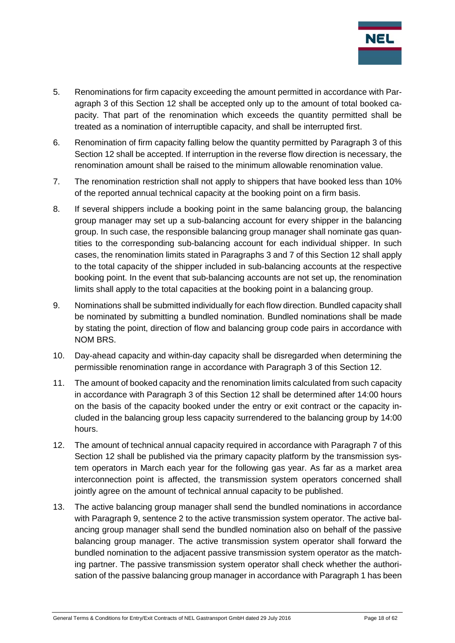

- 5. Renominations for firm capacity exceeding the amount permitted in accordance with Paragraph 3 of this Section 12 shall be accepted only up to the amount of total booked capacity. That part of the renomination which exceeds the quantity permitted shall be treated as a nomination of interruptible capacity, and shall be interrupted first.
- 6. Renomination of firm capacity falling below the quantity permitted by Paragraph 3 of this Section 12 shall be accepted. If interruption in the reverse flow direction is necessary, the renomination amount shall be raised to the minimum allowable renomination value.
- 7. The renomination restriction shall not apply to shippers that have booked less than 10% of the reported annual technical capacity at the booking point on a firm basis.
- 8. If several shippers include a booking point in the same balancing group, the balancing group manager may set up a sub-balancing account for every shipper in the balancing group. In such case, the responsible balancing group manager shall nominate gas quantities to the corresponding sub-balancing account for each individual shipper. In such cases, the renomination limits stated in Paragraphs 3 and 7 of this Section 12 shall apply to the total capacity of the shipper included in sub-balancing accounts at the respective booking point. In the event that sub-balancing accounts are not set up, the renomination limits shall apply to the total capacities at the booking point in a balancing group.
- 9. Nominations shall be submitted individually for each flow direction. Bundled capacity shall be nominated by submitting a bundled nomination. Bundled nominations shall be made by stating the point, direction of flow and balancing group code pairs in accordance with NOM BRS.
- 10. Day-ahead capacity and within-day capacity shall be disregarded when determining the permissible renomination range in accordance with Paragraph 3 of this Section 12.
- 11. The amount of booked capacity and the renomination limits calculated from such capacity in accordance with Paragraph 3 of this Section 12 shall be determined after 14:00 hours on the basis of the capacity booked under the entry or exit contract or the capacity included in the balancing group less capacity surrendered to the balancing group by 14:00 hours.
- 12. The amount of technical annual capacity required in accordance with Paragraph 7 of this Section 12 shall be published via the primary capacity platform by the transmission system operators in March each year for the following gas year. As far as a market area interconnection point is affected, the transmission system operators concerned shall jointly agree on the amount of technical annual capacity to be published.
- 13. The active balancing group manager shall send the bundled nominations in accordance with Paragraph 9, sentence 2 to the active transmission system operator. The active balancing group manager shall send the bundled nomination also on behalf of the passive balancing group manager. The active transmission system operator shall forward the bundled nomination to the adjacent passive transmission system operator as the matching partner. The passive transmission system operator shall check whether the authorisation of the passive balancing group manager in accordance with Paragraph 1 has been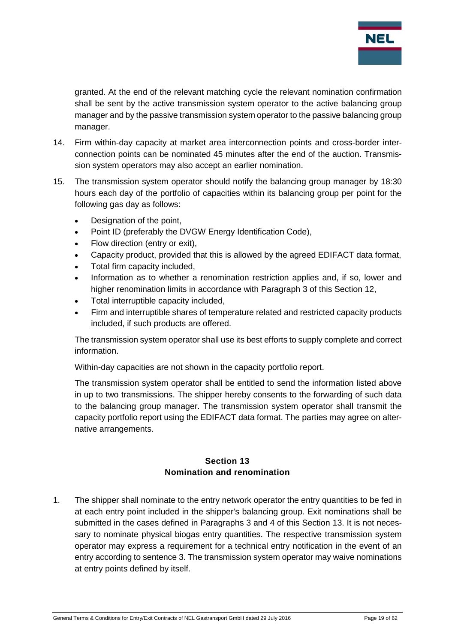

granted. At the end of the relevant matching cycle the relevant nomination confirmation shall be sent by the active transmission system operator to the active balancing group manager and by the passive transmission system operator to the passive balancing group manager.

- 14. Firm within-day capacity at market area interconnection points and cross-border interconnection points can be nominated 45 minutes after the end of the auction. Transmission system operators may also accept an earlier nomination.
- 15. The transmission system operator should notify the balancing group manager by 18:30 hours each day of the portfolio of capacities within its balancing group per point for the following gas day as follows:
	- Designation of the point,
	- Point ID (preferably the DVGW Energy Identification Code),
	- Flow direction (entry or exit),
	- Capacity product, provided that this is allowed by the agreed EDIFACT data format,
	- Total firm capacity included,
	- Information as to whether a renomination restriction applies and, if so, lower and higher renomination limits in accordance with Paragraph 3 of this Section 12,
	- Total interruptible capacity included,
	- Firm and interruptible shares of temperature related and restricted capacity products included, if such products are offered.

The transmission system operator shall use its best efforts to supply complete and correct information.

Within-day capacities are not shown in the capacity portfolio report.

The transmission system operator shall be entitled to send the information listed above in up to two transmissions. The shipper hereby consents to the forwarding of such data to the balancing group manager. The transmission system operator shall transmit the capacity portfolio report using the EDIFACT data format. The parties may agree on alternative arrangements.

#### **Section 13 Nomination and renomination**

<span id="page-18-0"></span>1. The shipper shall nominate to the entry network operator the entry quantities to be fed in at each entry point included in the shipper's balancing group. Exit nominations shall be submitted in the cases defined in Paragraphs 3 and 4 of this Section 13. It is not necessary to nominate physical biogas entry quantities. The respective transmission system operator may express a requirement for a technical entry notification in the event of an entry according to sentence 3. The transmission system operator may waive nominations at entry points defined by itself.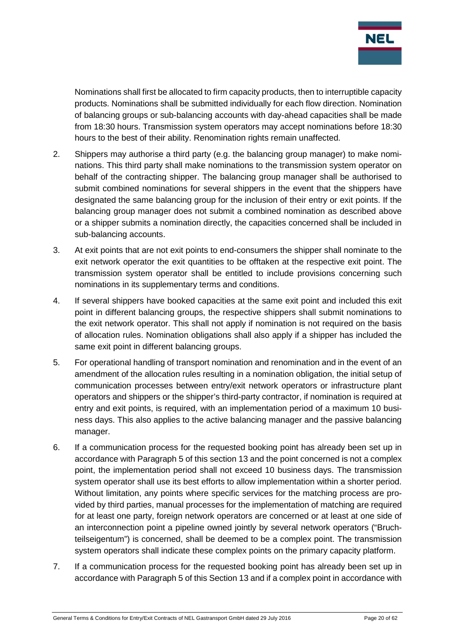

Nominations shall first be allocated to firm capacity products, then to interruptible capacity products. Nominations shall be submitted individually for each flow direction. Nomination of balancing groups or sub-balancing accounts with day-ahead capacities shall be made from 18:30 hours. Transmission system operators may accept nominations before 18:30 hours to the best of their ability. Renomination rights remain unaffected.

- 2. Shippers may authorise a third party (e.g. the balancing group manager) to make nominations. This third party shall make nominations to the transmission system operator on behalf of the contracting shipper. The balancing group manager shall be authorised to submit combined nominations for several shippers in the event that the shippers have designated the same balancing group for the inclusion of their entry or exit points. If the balancing group manager does not submit a combined nomination as described above or a shipper submits a nomination directly, the capacities concerned shall be included in sub-balancing accounts.
- 3. At exit points that are not exit points to end-consumers the shipper shall nominate to the exit network operator the exit quantities to be offtaken at the respective exit point. The transmission system operator shall be entitled to include provisions concerning such nominations in its supplementary terms and conditions.
- 4. If several shippers have booked capacities at the same exit point and included this exit point in different balancing groups, the respective shippers shall submit nominations to the exit network operator. This shall not apply if nomination is not required on the basis of allocation rules. Nomination obligations shall also apply if a shipper has included the same exit point in different balancing groups.
- 5. For operational handling of transport nomination and renomination and in the event of an amendment of the allocation rules resulting in a nomination obligation, the initial setup of communication processes between entry/exit network operators or infrastructure plant operators and shippers or the shipper's third-party contractor, if nomination is required at entry and exit points, is required, with an implementation period of a maximum 10 business days. This also applies to the active balancing manager and the passive balancing manager.
- 6. If a communication process for the requested booking point has already been set up in accordance with Paragraph 5 of this section 13 and the point concerned is not a complex point, the implementation period shall not exceed 10 business days. The transmission system operator shall use its best efforts to allow implementation within a shorter period. Without limitation, any points where specific services for the matching process are provided by third parties, manual processes for the implementation of matching are required for at least one party, foreign network operators are concerned or at least at one side of an interconnection point a pipeline owned jointly by several network operators ("Bruchteilseigentum") is concerned, shall be deemed to be a complex point. The transmission system operators shall indicate these complex points on the primary capacity platform.
- 7. If a communication process for the requested booking point has already been set up in accordance with Paragraph 5 of this Section 13 and if a complex point in accordance with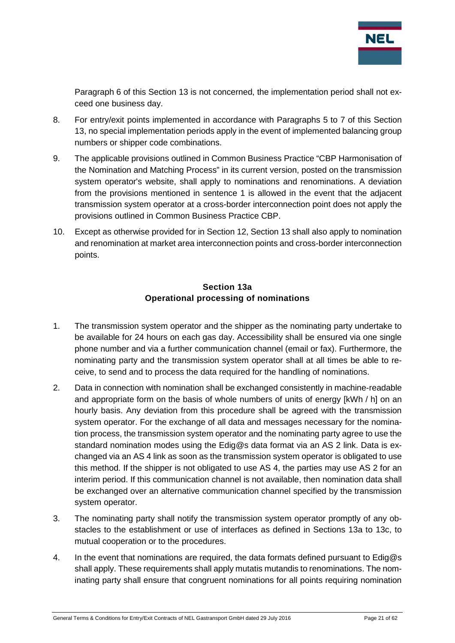

Paragraph 6 of this Section 13 is not concerned, the implementation period shall not exceed one business day.

- 8. For entry/exit points implemented in accordance with Paragraphs 5 to 7 of this Section 13, no special implementation periods apply in the event of implemented balancing group numbers or shipper code combinations.
- 9. The applicable provisions outlined in Common Business Practice "CBP Harmonisation of the Nomination and Matching Process" in its current version, posted on the transmission system operator's website, shall apply to nominations and renominations. A deviation from the provisions mentioned in sentence 1 is allowed in the event that the adjacent transmission system operator at a cross-border interconnection point does not apply the provisions outlined in Common Business Practice CBP.
- 10. Except as otherwise provided for in Section 12, Section 13 shall also apply to nomination and renomination at market area interconnection points and cross-border interconnection points.

## **Section 13a Operational processing of nominations**

- <span id="page-20-0"></span>1. The transmission system operator and the shipper as the nominating party undertake to be available for 24 hours on each gas day. Accessibility shall be ensured via one single phone number and via a further communication channel (email or fax). Furthermore, the nominating party and the transmission system operator shall at all times be able to receive, to send and to process the data required for the handling of nominations.
- 2. Data in connection with nomination shall be exchanged consistently in machine-readable and appropriate form on the basis of whole numbers of units of energy [kWh / h] on an hourly basis. Any deviation from this procedure shall be agreed with the transmission system operator. For the exchange of all data and messages necessary for the nomination process, the transmission system operator and the nominating party agree to use the standard nomination modes using the Edig@s data format via an AS 2 link. Data is exchanged via an AS 4 link as soon as the transmission system operator is obligated to use this method. If the shipper is not obligated to use AS 4, the parties may use AS 2 for an interim period. If this communication channel is not available, then nomination data shall be exchanged over an alternative communication channel specified by the transmission system operator.
- 3. The nominating party shall notify the transmission system operator promptly of any obstacles to the establishment or use of interfaces as defined in Sections 13a to 13c, to mutual cooperation or to the procedures.
- 4. In the event that nominations are required, the data formats defined pursuant to  $Ediq@s$ shall apply. These requirements shall apply mutatis mutandis to renominations. The nominating party shall ensure that congruent nominations for all points requiring nomination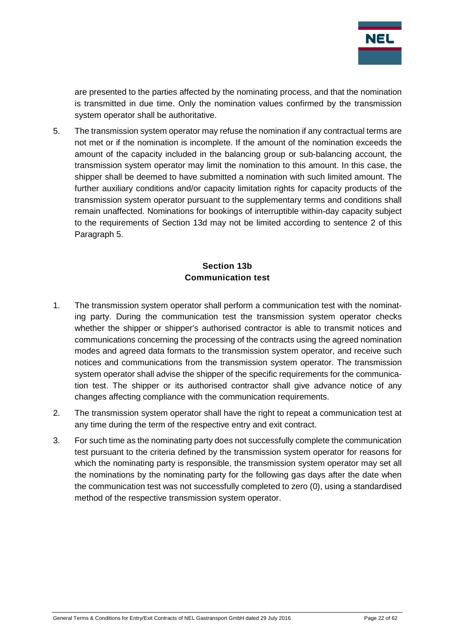

are presented to the parties affected by the nominating process, and that the nomination is transmitted in due time. Only the nomination values confirmed by the transmission system operator shall be authoritative.

5. The transmission system operator may refuse the nomination if any contractual terms are not met or if the nomination is incomplete. If the amount of the nomination exceeds the amount of the capacity included in the balancing group or sub-balancing account, the transmission system operator may limit the nomination to this amount. In this case, the shipper shall be deemed to have submitted a nomination with such limited amount. The further auxiliary conditions and/or capacity limitation rights for capacity products of the transmission system operator pursuant to the supplementary terms and conditions shall remain unaffected. Nominations for bookings of interruptible within-day capacity subject to the requirements of Section 13d may not be limited according to sentence 2 of this Paragraph 5.

## **Section 13b Communication test**

- <span id="page-21-0"></span>1. The transmission system operator shall perform a communication test with the nominating party. During the communication test the transmission system operator checks whether the shipper or shipper's authorised contractor is able to transmit notices and communications concerning the processing of the contracts using the agreed nomination modes and agreed data formats to the transmission system operator, and receive such notices and communications from the transmission system operator. The transmission system operator shall advise the shipper of the specific requirements for the communication test. The shipper or its authorised contractor shall give advance notice of any changes affecting compliance with the communication requirements.
- 2. The transmission system operator shall have the right to repeat a communication test at any time during the term of the respective entry and exit contract.
- 3. For such time as the nominating party does not successfully complete the communication test pursuant to the criteria defined by the transmission system operator for reasons for which the nominating party is responsible, the transmission system operator may set all the nominations by the nominating party for the following gas days after the date when the communication test was not successfully completed to zero (0), using a standardised method of the respective transmission system operator.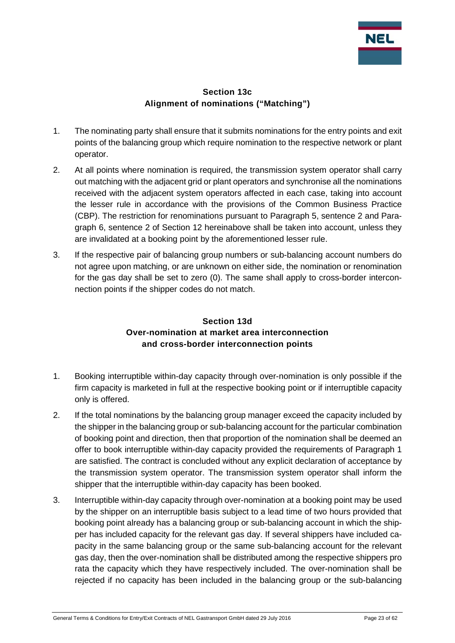

#### **Section 13c Alignment of nominations ("Matching")**

- <span id="page-22-0"></span>1. The nominating party shall ensure that it submits nominations for the entry points and exit points of the balancing group which require nomination to the respective network or plant operator.
- 2. At all points where nomination is required, the transmission system operator shall carry out matching with the adjacent grid or plant operators and synchronise all the nominations received with the adjacent system operators affected in each case, taking into account the lesser rule in accordance with the provisions of the Common Business Practice (CBP). The restriction for renominations pursuant to Paragraph 5, sentence 2 and Paragraph 6, sentence 2 of Section 12 hereinabove shall be taken into account, unless they are invalidated at a booking point by the aforementioned lesser rule.
- 3. If the respective pair of balancing group numbers or sub-balancing account numbers do not agree upon matching, or are unknown on either side, the nomination or renomination for the gas day shall be set to zero (0). The same shall apply to cross-border interconnection points if the shipper codes do not match.

## **Section 13d Over-nomination at market area interconnection and cross-border interconnection points**

- <span id="page-22-1"></span>1. Booking interruptible within-day capacity through over-nomination is only possible if the firm capacity is marketed in full at the respective booking point or if interruptible capacity only is offered.
- 2. If the total nominations by the balancing group manager exceed the capacity included by the shipper in the balancing group or sub-balancing account for the particular combination of booking point and direction, then that proportion of the nomination shall be deemed an offer to book interruptible within-day capacity provided the requirements of Paragraph 1 are satisfied. The contract is concluded without any explicit declaration of acceptance by the transmission system operator. The transmission system operator shall inform the shipper that the interruptible within-day capacity has been booked.
- 3. Interruptible within-day capacity through over-nomination at a booking point may be used by the shipper on an interruptible basis subject to a lead time of two hours provided that booking point already has a balancing group or sub-balancing account in which the shipper has included capacity for the relevant gas day. If several shippers have included capacity in the same balancing group or the same sub-balancing account for the relevant gas day, then the over-nomination shall be distributed among the respective shippers pro rata the capacity which they have respectively included. The over-nomination shall be rejected if no capacity has been included in the balancing group or the sub-balancing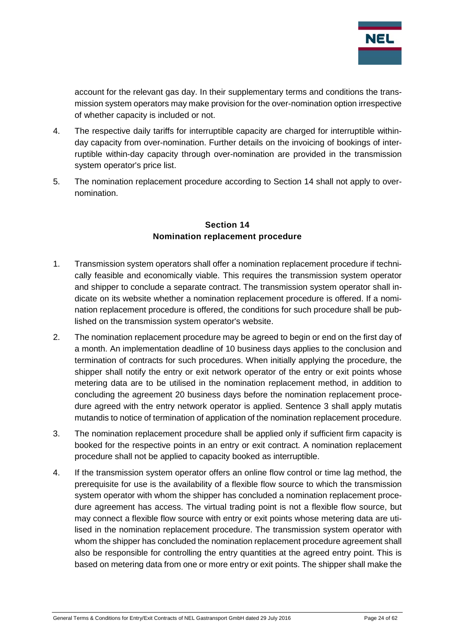

account for the relevant gas day. In their supplementary terms and conditions the transmission system operators may make provision for the over-nomination option irrespective of whether capacity is included or not.

- 4. The respective daily tariffs for interruptible capacity are charged for interruptible withinday capacity from over-nomination. Further details on the invoicing of bookings of interruptible within-day capacity through over-nomination are provided in the transmission system operator's price list.
- 5. The nomination replacement procedure according to Section 14 shall not apply to overnomination.

#### **Section 14 Nomination replacement procedure**

- <span id="page-23-0"></span>1. Transmission system operators shall offer a nomination replacement procedure if technically feasible and economically viable. This requires the transmission system operator and shipper to conclude a separate contract. The transmission system operator shall indicate on its website whether a nomination replacement procedure is offered. If a nomination replacement procedure is offered, the conditions for such procedure shall be published on the transmission system operator's website.
- 2. The nomination replacement procedure may be agreed to begin or end on the first day of a month. An implementation deadline of 10 business days applies to the conclusion and termination of contracts for such procedures. When initially applying the procedure, the shipper shall notify the entry or exit network operator of the entry or exit points whose metering data are to be utilised in the nomination replacement method, in addition to concluding the agreement 20 business days before the nomination replacement procedure agreed with the entry network operator is applied. Sentence 3 shall apply mutatis mutandis to notice of termination of application of the nomination replacement procedure.
- 3. The nomination replacement procedure shall be applied only if sufficient firm capacity is booked for the respective points in an entry or exit contract. A nomination replacement procedure shall not be applied to capacity booked as interruptible.
- 4. If the transmission system operator offers an online flow control or time lag method, the prerequisite for use is the availability of a flexible flow source to which the transmission system operator with whom the shipper has concluded a nomination replacement procedure agreement has access. The virtual trading point is not a flexible flow source, but may connect a flexible flow source with entry or exit points whose metering data are utilised in the nomination replacement procedure. The transmission system operator with whom the shipper has concluded the nomination replacement procedure agreement shall also be responsible for controlling the entry quantities at the agreed entry point. This is based on metering data from one or more entry or exit points. The shipper shall make the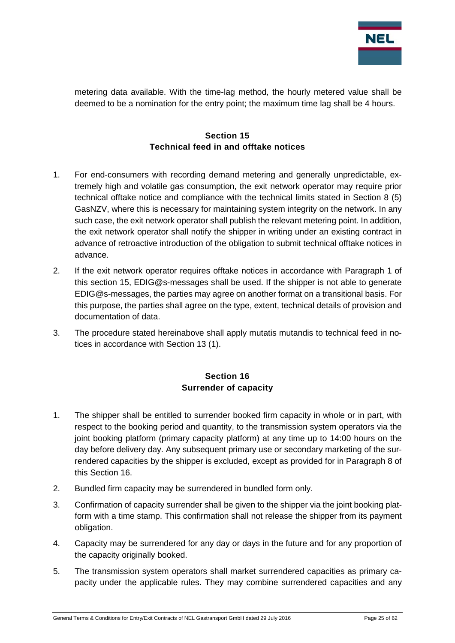

metering data available. With the time-lag method, the hourly metered value shall be deemed to be a nomination for the entry point; the maximum time lag shall be 4 hours.

## **Section 15 Technical feed in and offtake notices**

- <span id="page-24-0"></span>1. For end-consumers with recording demand metering and generally unpredictable, extremely high and volatile gas consumption, the exit network operator may require prior technical offtake notice and compliance with the technical limits stated in Section 8 (5) GasNZV, where this is necessary for maintaining system integrity on the network. In any such case, the exit network operator shall publish the relevant metering point. In addition, the exit network operator shall notify the shipper in writing under an existing contract in advance of retroactive introduction of the obligation to submit technical offtake notices in advance.
- 2. If the exit network operator requires offtake notices in accordance with Paragraph 1 of this section 15, EDIG@s-messages shall be used. If the shipper is not able to generate EDIG@s-messages, the parties may agree on another format on a transitional basis. For this purpose, the parties shall agree on the type, extent, technical details of provision and documentation of data.
- 3. The procedure stated hereinabove shall apply mutatis mutandis to technical feed in notices in accordance with Section 13 (1).

## **Section 16 Surrender of capacity**

- <span id="page-24-1"></span>1. The shipper shall be entitled to surrender booked firm capacity in whole or in part, with respect to the booking period and quantity, to the transmission system operators via the joint booking platform (primary capacity platform) at any time up to 14:00 hours on the day before delivery day. Any subsequent primary use or secondary marketing of the surrendered capacities by the shipper is excluded, except as provided for in Paragraph 8 of this Section 16.
- 2. Bundled firm capacity may be surrendered in bundled form only.
- 3. Confirmation of capacity surrender shall be given to the shipper via the joint booking platform with a time stamp. This confirmation shall not release the shipper from its payment obligation.
- 4. Capacity may be surrendered for any day or days in the future and for any proportion of the capacity originally booked.
- 5. The transmission system operators shall market surrendered capacities as primary capacity under the applicable rules. They may combine surrendered capacities and any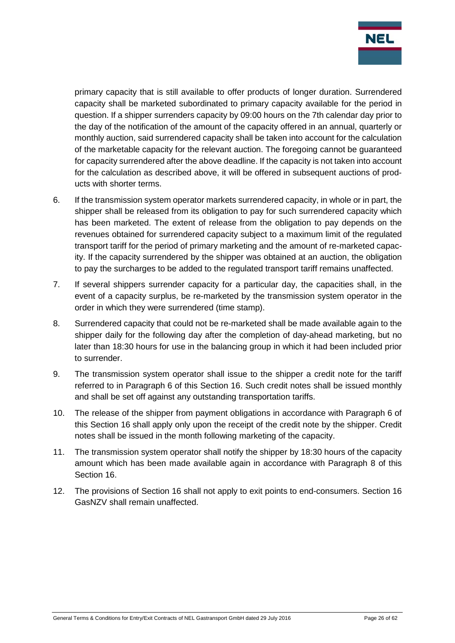

primary capacity that is still available to offer products of longer duration. Surrendered capacity shall be marketed subordinated to primary capacity available for the period in question. If a shipper surrenders capacity by 09:00 hours on the 7th calendar day prior to the day of the notification of the amount of the capacity offered in an annual, quarterly or monthly auction, said surrendered capacity shall be taken into account for the calculation of the marketable capacity for the relevant auction. The foregoing cannot be guaranteed for capacity surrendered after the above deadline. If the capacity is not taken into account for the calculation as described above, it will be offered in subsequent auctions of products with shorter terms.

- 6. If the transmission system operator markets surrendered capacity, in whole or in part, the shipper shall be released from its obligation to pay for such surrendered capacity which has been marketed. The extent of release from the obligation to pay depends on the revenues obtained for surrendered capacity subject to a maximum limit of the regulated transport tariff for the period of primary marketing and the amount of re-marketed capacity. If the capacity surrendered by the shipper was obtained at an auction, the obligation to pay the surcharges to be added to the regulated transport tariff remains unaffected.
- 7. If several shippers surrender capacity for a particular day, the capacities shall, in the event of a capacity surplus, be re-marketed by the transmission system operator in the order in which they were surrendered (time stamp).
- 8. Surrendered capacity that could not be re-marketed shall be made available again to the shipper daily for the following day after the completion of day-ahead marketing, but no later than 18:30 hours for use in the balancing group in which it had been included prior to surrender.
- 9. The transmission system operator shall issue to the shipper a credit note for the tariff referred to in Paragraph 6 of this Section 16. Such credit notes shall be issued monthly and shall be set off against any outstanding transportation tariffs.
- 10. The release of the shipper from payment obligations in accordance with Paragraph 6 of this Section 16 shall apply only upon the receipt of the credit note by the shipper. Credit notes shall be issued in the month following marketing of the capacity.
- 11. The transmission system operator shall notify the shipper by 18:30 hours of the capacity amount which has been made available again in accordance with Paragraph 8 of this Section 16.
- 12. The provisions of Section 16 shall not apply to exit points to end-consumers. Section 16 GasNZV shall remain unaffected.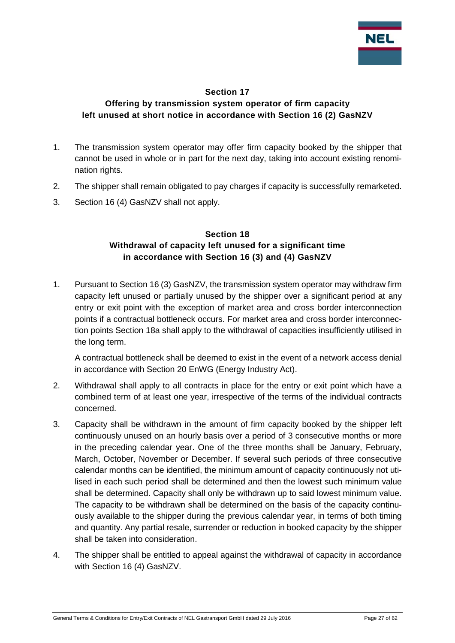

#### **Section 17**

## <span id="page-26-0"></span>**Offering by transmission system operator of firm capacity left unused at short notice in accordance with Section 16 (2) GasNZV**

- 1. The transmission system operator may offer firm capacity booked by the shipper that cannot be used in whole or in part for the next day, taking into account existing renomination rights.
- 2. The shipper shall remain obligated to pay charges if capacity is successfully remarketed.
- <span id="page-26-1"></span>3. Section 16 (4) GasNZV shall not apply.

#### **Section 18 Withdrawal of capacity left unused for a significant time in accordance with Section 16 (3) and (4) GasNZV**

1. Pursuant to Section 16 (3) GasNZV, the transmission system operator may withdraw firm capacity left unused or partially unused by the shipper over a significant period at any entry or exit point with the exception of market area and cross border interconnection points if a contractual bottleneck occurs. For market area and cross border interconnection points Section 18a shall apply to the withdrawal of capacities insufficiently utilised in the long term.

A contractual bottleneck shall be deemed to exist in the event of a network access denial in accordance with Section 20 EnWG (Energy Industry Act).

- 2. Withdrawal shall apply to all contracts in place for the entry or exit point which have a combined term of at least one year, irrespective of the terms of the individual contracts concerned.
- 3. Capacity shall be withdrawn in the amount of firm capacity booked by the shipper left continuously unused on an hourly basis over a period of 3 consecutive months or more in the preceding calendar year. One of the three months shall be January, February, March, October, November or December. If several such periods of three consecutive calendar months can be identified, the minimum amount of capacity continuously not utilised in each such period shall be determined and then the lowest such minimum value shall be determined. Capacity shall only be withdrawn up to said lowest minimum value. The capacity to be withdrawn shall be determined on the basis of the capacity continuously available to the shipper during the previous calendar year, in terms of both timing and quantity. Any partial resale, surrender or reduction in booked capacity by the shipper shall be taken into consideration.
- 4. The shipper shall be entitled to appeal against the withdrawal of capacity in accordance with Section 16 (4) GasNZV.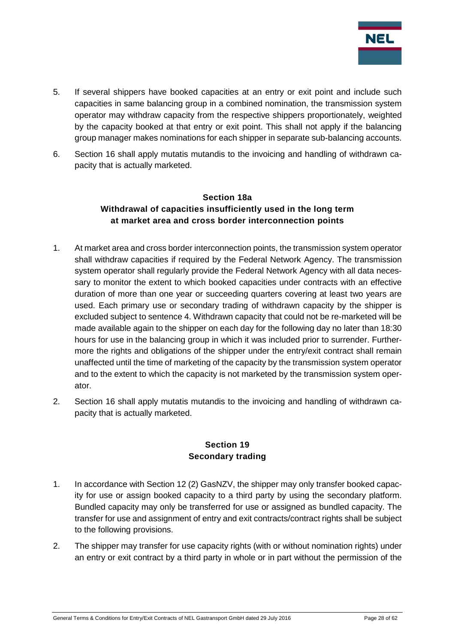

- 5. If several shippers have booked capacities at an entry or exit point and include such capacities in same balancing group in a combined nomination, the transmission system operator may withdraw capacity from the respective shippers proportionately, weighted by the capacity booked at that entry or exit point. This shall not apply if the balancing group manager makes nominations for each shipper in separate sub-balancing accounts.
- <span id="page-27-0"></span>6. Section 16 shall apply mutatis mutandis to the invoicing and handling of withdrawn capacity that is actually marketed.

## **Section 18a Withdrawal of capacities insufficiently used in the long term at market area and cross border interconnection points**

- 1. At market area and cross border interconnection points, the transmission system operator shall withdraw capacities if required by the Federal Network Agency. The transmission system operator shall regularly provide the Federal Network Agency with all data necessary to monitor the extent to which booked capacities under contracts with an effective duration of more than one year or succeeding quarters covering at least two years are used. Each primary use or secondary trading of withdrawn capacity by the shipper is excluded subject to sentence 4. Withdrawn capacity that could not be re-marketed will be made available again to the shipper on each day for the following day no later than 18:30 hours for use in the balancing group in which it was included prior to surrender. Furthermore the rights and obligations of the shipper under the entry/exit contract shall remain unaffected until the time of marketing of the capacity by the transmission system operator and to the extent to which the capacity is not marketed by the transmission system operator.
- 2. Section 16 shall apply mutatis mutandis to the invoicing and handling of withdrawn capacity that is actually marketed.

#### **Section 19 Secondary trading**

- <span id="page-27-1"></span>1. In accordance with Section 12 (2) GasNZV, the shipper may only transfer booked capacity for use or assign booked capacity to a third party by using the secondary platform. Bundled capacity may only be transferred for use or assigned as bundled capacity. The transfer for use and assignment of entry and exit contracts/contract rights shall be subject to the following provisions.
- 2. The shipper may transfer for use capacity rights (with or without nomination rights) under an entry or exit contract by a third party in whole or in part without the permission of the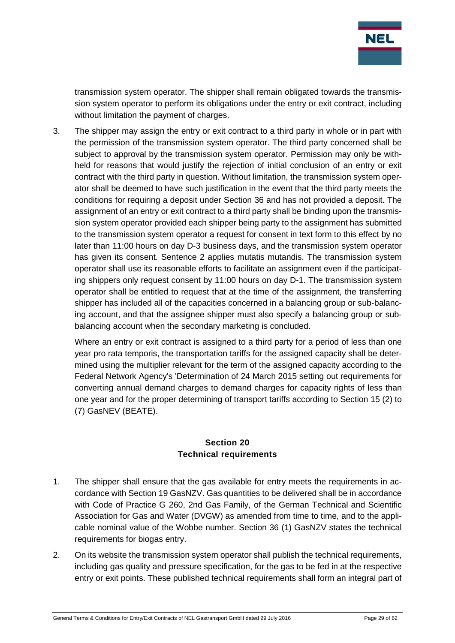

transmission system operator. The shipper shall remain obligated towards the transmission system operator to perform its obligations under the entry or exit contract, including without limitation the payment of charges.

3. The shipper may assign the entry or exit contract to a third party in whole or in part with the permission of the transmission system operator. The third party concerned shall be subject to approval by the transmission system operator. Permission may only be withheld for reasons that would justify the rejection of initial conclusion of an entry or exit contract with the third party in question. Without limitation, the transmission system operator shall be deemed to have such justification in the event that the third party meets the conditions for requiring a deposit under Section 36 and has not provided a deposit. The assignment of an entry or exit contract to a third party shall be binding upon the transmission system operator provided each shipper being party to the assignment has submitted to the transmission system operator a request for consent in text form to this effect by no later than 11:00 hours on day D-3 business days, and the transmission system operator has given its consent. Sentence 2 applies mutatis mutandis. The transmission system operator shall use its reasonable efforts to facilitate an assignment even if the participating shippers only request consent by 11:00 hours on day D-1. The transmission system operator shall be entitled to request that at the time of the assignment, the transferring shipper has included all of the capacities concerned in a balancing group or sub-balancing account, and that the assignee shipper must also specify a balancing group or subbalancing account when the secondary marketing is concluded.

Where an entry or exit contract is assigned to a third party for a period of less than one year pro rata temporis, the transportation tariffs for the assigned capacity shall be determined using the multiplier relevant for the term of the assigned capacity according to the Federal Network Agency's 'Determination of 24 March 2015 setting out requirements for converting annual demand charges to demand charges for capacity rights of less than one year and for the proper determining of transport tariffs according to Section 15 (2) to (7) GasNEV (BEATE).

#### **Section 20 Technical requirements**

- <span id="page-28-0"></span>1. The shipper shall ensure that the gas available for entry meets the requirements in accordance with Section 19 GasNZV. Gas quantities to be delivered shall be in accordance with Code of Practice G 260, 2nd Gas Family, of the German Technical and Scientific Association for Gas and Water (DVGW) as amended from time to time, and to the applicable nominal value of the Wobbe number. Section 36 (1) GasNZV states the technical requirements for biogas entry.
- 2. On its website the transmission system operator shall publish the technical requirements, including gas quality and pressure specification, for the gas to be fed in at the respective entry or exit points. These published technical requirements shall form an integral part of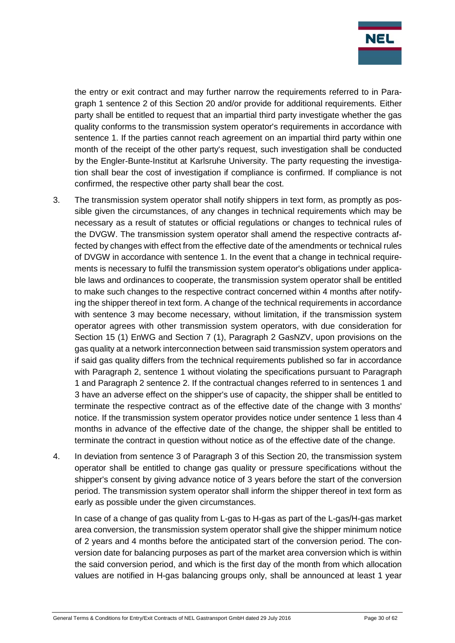

the entry or exit contract and may further narrow the requirements referred to in Paragraph 1 sentence 2 of this Section 20 and/or provide for additional requirements. Either party shall be entitled to request that an impartial third party investigate whether the gas quality conforms to the transmission system operator's requirements in accordance with sentence 1. If the parties cannot reach agreement on an impartial third party within one month of the receipt of the other party's request, such investigation shall be conducted by the Engler-Bunte-Institut at Karlsruhe University. The party requesting the investigation shall bear the cost of investigation if compliance is confirmed. If compliance is not confirmed, the respective other party shall bear the cost.

- 3. The transmission system operator shall notify shippers in text form, as promptly as possible given the circumstances, of any changes in technical requirements which may be necessary as a result of statutes or official regulations or changes to technical rules of the DVGW. The transmission system operator shall amend the respective contracts affected by changes with effect from the effective date of the amendments or technical rules of DVGW in accordance with sentence 1. In the event that a change in technical requirements is necessary to fulfil the transmission system operator's obligations under applicable laws and ordinances to cooperate, the transmission system operator shall be entitled to make such changes to the respective contract concerned within 4 months after notifying the shipper thereof in text form. A change of the technical requirements in accordance with sentence 3 may become necessary, without limitation, if the transmission system operator agrees with other transmission system operators, with due consideration for Section 15 (1) EnWG and Section 7 (1), Paragraph 2 GasNZV, upon provisions on the gas quality at a network interconnection between said transmission system operators and if said gas quality differs from the technical requirements published so far in accordance with Paragraph 2, sentence 1 without violating the specifications pursuant to Paragraph 1 and Paragraph 2 sentence 2. If the contractual changes referred to in sentences 1 and 3 have an adverse effect on the shipper's use of capacity, the shipper shall be entitled to terminate the respective contract as of the effective date of the change with 3 months' notice. If the transmission system operator provides notice under sentence 1 less than 4 months in advance of the effective date of the change, the shipper shall be entitled to terminate the contract in question without notice as of the effective date of the change.
- 4. In deviation from sentence 3 of Paragraph 3 of this Section 20, the transmission system operator shall be entitled to change gas quality or pressure specifications without the shipper's consent by giving advance notice of 3 years before the start of the conversion period. The transmission system operator shall inform the shipper thereof in text form as early as possible under the given circumstances.

In case of a change of gas quality from L-gas to H-gas as part of the L-gas/H-gas market area conversion, the transmission system operator shall give the shipper minimum notice of 2 years and 4 months before the anticipated start of the conversion period. The conversion date for balancing purposes as part of the market area conversion which is within the said conversion period, and which is the first day of the month from which allocation values are notified in H-gas balancing groups only, shall be announced at least 1 year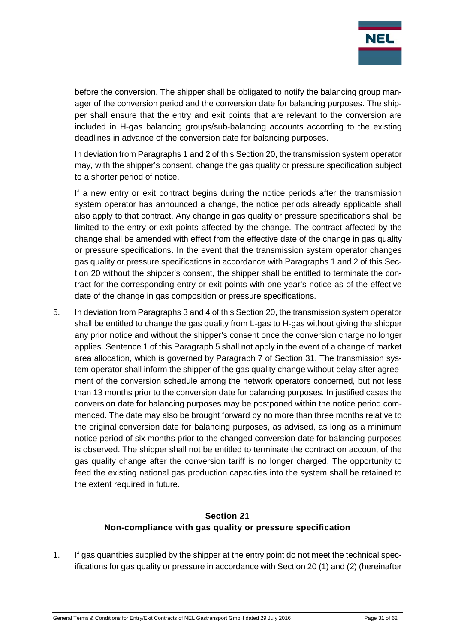

before the conversion. The shipper shall be obligated to notify the balancing group manager of the conversion period and the conversion date for balancing purposes. The shipper shall ensure that the entry and exit points that are relevant to the conversion are included in H-gas balancing groups/sub-balancing accounts according to the existing deadlines in advance of the conversion date for balancing purposes.

In deviation from Paragraphs 1 and 2 of this Section 20, the transmission system operator may, with the shipper's consent, change the gas quality or pressure specification subject to a shorter period of notice.

If a new entry or exit contract begins during the notice periods after the transmission system operator has announced a change, the notice periods already applicable shall also apply to that contract. Any change in gas quality or pressure specifications shall be limited to the entry or exit points affected by the change. The contract affected by the change shall be amended with effect from the effective date of the change in gas quality or pressure specifications. In the event that the transmission system operator changes gas quality or pressure specifications in accordance with Paragraphs 1 and 2 of this Section 20 without the shipper's consent, the shipper shall be entitled to terminate the contract for the corresponding entry or exit points with one year's notice as of the effective date of the change in gas composition or pressure specifications.

5. In deviation from Paragraphs 3 and 4 of this Section 20, the transmission system operator shall be entitled to change the gas quality from L-gas to H-gas without giving the shipper any prior notice and without the shipper's consent once the conversion charge no longer applies. Sentence 1 of this Paragraph 5 shall not apply in the event of a change of market area allocation, which is governed by Paragraph 7 of Section 31. The transmission system operator shall inform the shipper of the gas quality change without delay after agreement of the conversion schedule among the network operators concerned, but not less than 13 months prior to the conversion date for balancing purposes. In justified cases the conversion date for balancing purposes may be postponed within the notice period commenced. The date may also be brought forward by no more than three months relative to the original conversion date for balancing purposes, as advised, as long as a minimum notice period of six months prior to the changed conversion date for balancing purposes is observed. The shipper shall not be entitled to terminate the contract on account of the gas quality change after the conversion tariff is no longer charged. The opportunity to feed the existing national gas production capacities into the system shall be retained to the extent required in future.

## **Section 21 Non-compliance with gas quality or pressure specification**

<span id="page-30-0"></span>1. If gas quantities supplied by the shipper at the entry point do not meet the technical specifications for gas quality or pressure in accordance with Section 20 (1) and (2) (hereinafter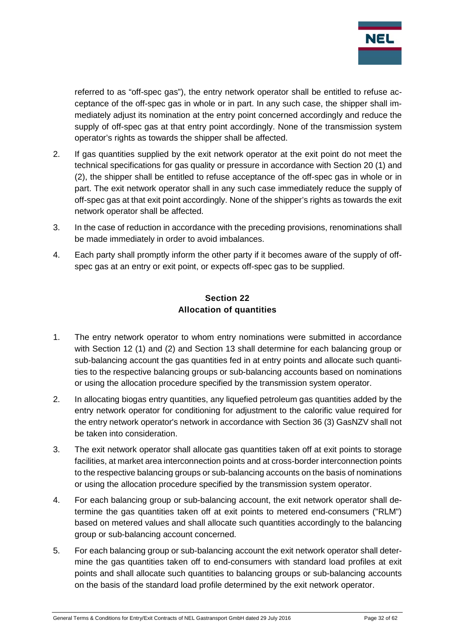

referred to as "off-spec gas"), the entry network operator shall be entitled to refuse acceptance of the off-spec gas in whole or in part. In any such case, the shipper shall immediately adjust its nomination at the entry point concerned accordingly and reduce the supply of off-spec gas at that entry point accordingly. None of the transmission system operator's rights as towards the shipper shall be affected.

- 2. If gas quantities supplied by the exit network operator at the exit point do not meet the technical specifications for gas quality or pressure in accordance with Section 20 (1) and (2), the shipper shall be entitled to refuse acceptance of the off-spec gas in whole or in part. The exit network operator shall in any such case immediately reduce the supply of off-spec gas at that exit point accordingly. None of the shipper's rights as towards the exit network operator shall be affected.
- 3. In the case of reduction in accordance with the preceding provisions, renominations shall be made immediately in order to avoid imbalances.
- 4. Each party shall promptly inform the other party if it becomes aware of the supply of offspec gas at an entry or exit point, or expects off-spec gas to be supplied.

#### **Section 22 Allocation of quantities**

- <span id="page-31-0"></span>1. The entry network operator to whom entry nominations were submitted in accordance with Section 12 (1) and (2) and Section 13 shall determine for each balancing group or sub-balancing account the gas quantities fed in at entry points and allocate such quantities to the respective balancing groups or sub-balancing accounts based on nominations or using the allocation procedure specified by the transmission system operator.
- 2. In allocating biogas entry quantities, any liquefied petroleum gas quantities added by the entry network operator for conditioning for adjustment to the calorific value required for the entry network operator's network in accordance with Section 36 (3) GasNZV shall not be taken into consideration.
- 3. The exit network operator shall allocate gas quantities taken off at exit points to storage facilities, at market area interconnection points and at cross-border interconnection points to the respective balancing groups or sub-balancing accounts on the basis of nominations or using the allocation procedure specified by the transmission system operator.
- 4. For each balancing group or sub-balancing account, the exit network operator shall determine the gas quantities taken off at exit points to metered end-consumers ("RLM") based on metered values and shall allocate such quantities accordingly to the balancing group or sub-balancing account concerned.
- 5. For each balancing group or sub-balancing account the exit network operator shall determine the gas quantities taken off to end-consumers with standard load profiles at exit points and shall allocate such quantities to balancing groups or sub-balancing accounts on the basis of the standard load profile determined by the exit network operator.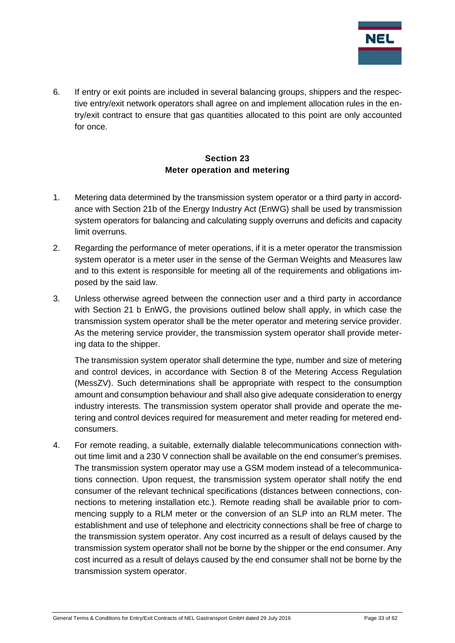

6. If entry or exit points are included in several balancing groups, shippers and the respective entry/exit network operators shall agree on and implement allocation rules in the entry/exit contract to ensure that gas quantities allocated to this point are only accounted for once.

## **Section 23 Meter operation and metering**

- <span id="page-32-0"></span>1. Metering data determined by the transmission system operator or a third party in accordance with Section 21b of the Energy Industry Act (EnWG) shall be used by transmission system operators for balancing and calculating supply overruns and deficits and capacity limit overruns.
- 2. Regarding the performance of meter operations, if it is a meter operator the transmission system operator is a meter user in the sense of the German Weights and Measures law and to this extent is responsible for meeting all of the requirements and obligations imposed by the said law.
- 3. Unless otherwise agreed between the connection user and a third party in accordance with Section 21 b EnWG, the provisions outlined below shall apply, in which case the transmission system operator shall be the meter operator and metering service provider. As the metering service provider, the transmission system operator shall provide metering data to the shipper.

The transmission system operator shall determine the type, number and size of metering and control devices, in accordance with Section 8 of the Metering Access Regulation (MessZV). Such determinations shall be appropriate with respect to the consumption amount and consumption behaviour and shall also give adequate consideration to energy industry interests. The transmission system operator shall provide and operate the metering and control devices required for measurement and meter reading for metered endconsumers.

4. For remote reading, a suitable, externally dialable telecommunications connection without time limit and a 230 V connection shall be available on the end consumer's premises. The transmission system operator may use a GSM modem instead of a telecommunications connection. Upon request, the transmission system operator shall notify the end consumer of the relevant technical specifications (distances between connections, connections to metering installation etc.). Remote reading shall be available prior to commencing supply to a RLM meter or the conversion of an SLP into an RLM meter. The establishment and use of telephone and electricity connections shall be free of charge to the transmission system operator. Any cost incurred as a result of delays caused by the transmission system operator shall not be borne by the shipper or the end consumer. Any cost incurred as a result of delays caused by the end consumer shall not be borne by the transmission system operator.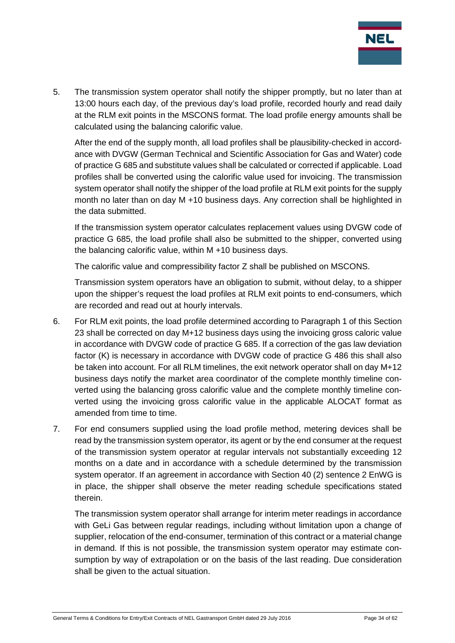

5. The transmission system operator shall notify the shipper promptly, but no later than at 13:00 hours each day, of the previous day's load profile, recorded hourly and read daily at the RLM exit points in the MSCONS format. The load profile energy amounts shall be calculated using the balancing calorific value.

After the end of the supply month, all load profiles shall be plausibility-checked in accordance with DVGW (German Technical and Scientific Association for Gas and Water) code of practice G 685 and substitute values shall be calculated or corrected if applicable. Load profiles shall be converted using the calorific value used for invoicing. The transmission system operator shall notify the shipper of the load profile at RLM exit points for the supply month no later than on day M +10 business days. Any correction shall be highlighted in the data submitted.

If the transmission system operator calculates replacement values using DVGW code of practice G 685, the load profile shall also be submitted to the shipper, converted using the balancing calorific value, within M +10 business days.

The calorific value and compressibility factor Z shall be published on MSCONS.

Transmission system operators have an obligation to submit, without delay, to a shipper upon the shipper's request the load profiles at RLM exit points to end-consumers, which are recorded and read out at hourly intervals.

- 6. For RLM exit points, the load profile determined according to Paragraph 1 of this Section 23 shall be corrected on day M+12 business days using the invoicing gross caloric value in accordance with DVGW code of practice G 685. If a correction of the gas law deviation factor (K) is necessary in accordance with DVGW code of practice G 486 this shall also be taken into account. For all RLM timelines, the exit network operator shall on day M+12 business days notify the market area coordinator of the complete monthly timeline converted using the balancing gross calorific value and the complete monthly timeline converted using the invoicing gross calorific value in the applicable ALOCAT format as amended from time to time.
- 7. For end consumers supplied using the load profile method, metering devices shall be read by the transmission system operator, its agent or by the end consumer at the request of the transmission system operator at regular intervals not substantially exceeding 12 months on a date and in accordance with a schedule determined by the transmission system operator. If an agreement in accordance with Section 40 (2) sentence 2 EnWG is in place, the shipper shall observe the meter reading schedule specifications stated therein.

The transmission system operator shall arrange for interim meter readings in accordance with GeLi Gas between regular readings, including without limitation upon a change of supplier, relocation of the end-consumer, termination of this contract or a material change in demand. If this is not possible, the transmission system operator may estimate consumption by way of extrapolation or on the basis of the last reading. Due consideration shall be given to the actual situation.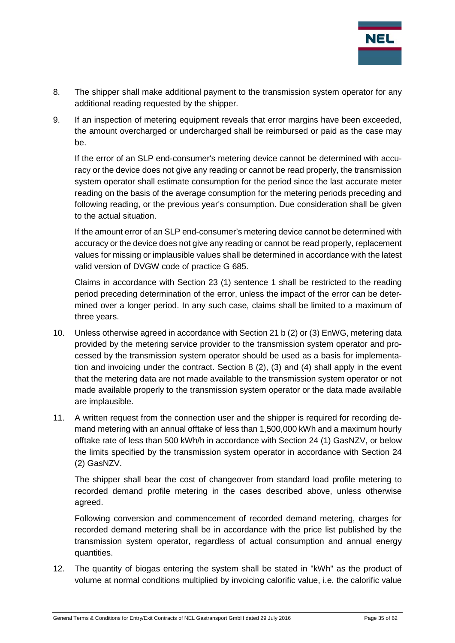

- 8. The shipper shall make additional payment to the transmission system operator for any additional reading requested by the shipper.
- 9. If an inspection of metering equipment reveals that error margins have been exceeded, the amount overcharged or undercharged shall be reimbursed or paid as the case may be.

If the error of an SLP end-consumer's metering device cannot be determined with accuracy or the device does not give any reading or cannot be read properly, the transmission system operator shall estimate consumption for the period since the last accurate meter reading on the basis of the average consumption for the metering periods preceding and following reading, or the previous year's consumption. Due consideration shall be given to the actual situation.

If the amount error of an SLP end-consumer's metering device cannot be determined with accuracy or the device does not give any reading or cannot be read properly, replacement values for missing or implausible values shall be determined in accordance with the latest valid version of DVGW code of practice G 685.

Claims in accordance with Section 23 (1) sentence 1 shall be restricted to the reading period preceding determination of the error, unless the impact of the error can be determined over a longer period. In any such case, claims shall be limited to a maximum of three years.

- 10. Unless otherwise agreed in accordance with Section 21 b (2) or (3) EnWG, metering data provided by the metering service provider to the transmission system operator and processed by the transmission system operator should be used as a basis for implementation and invoicing under the contract. Section 8 (2), (3) and (4) shall apply in the event that the metering data are not made available to the transmission system operator or not made available properly to the transmission system operator or the data made available are implausible.
- 11. A written request from the connection user and the shipper is required for recording demand metering with an annual offtake of less than 1,500,000 kWh and a maximum hourly offtake rate of less than 500 kWh/h in accordance with Section 24 (1) GasNZV, or below the limits specified by the transmission system operator in accordance with Section 24 (2) GasNZV.

The shipper shall bear the cost of changeover from standard load profile metering to recorded demand profile metering in the cases described above, unless otherwise agreed.

Following conversion and commencement of recorded demand metering, charges for recorded demand metering shall be in accordance with the price list published by the transmission system operator, regardless of actual consumption and annual energy quantities.

12. The quantity of biogas entering the system shall be stated in "kWh" as the product of volume at normal conditions multiplied by invoicing calorific value, i.e. the calorific value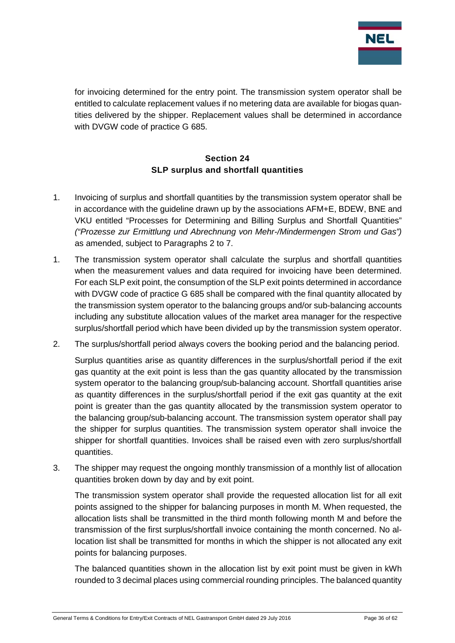

for invoicing determined for the entry point. The transmission system operator shall be entitled to calculate replacement values if no metering data are available for biogas quantities delivered by the shipper. Replacement values shall be determined in accordance with DVGW code of practice G 685.

## **Section 24 SLP surplus and shortfall quantities**

- <span id="page-35-0"></span>1. Invoicing of surplus and shortfall quantities by the transmission system operator shall be in accordance with the guideline drawn up by the associations AFM+E, BDEW, BNE and VKU entitled "Processes for Determining and Billing Surplus and Shortfall Quantities" *("Prozesse zur Ermittlung und Abrechnung von Mehr-/Mindermengen Strom und Gas")* as amended, subject to Paragraphs 2 to 7.
- 1. The transmission system operator shall calculate the surplus and shortfall quantities when the measurement values and data required for invoicing have been determined. For each SLP exit point, the consumption of the SLP exit points determined in accordance with DVGW code of practice G 685 shall be compared with the final quantity allocated by the transmission system operator to the balancing groups and/or sub-balancing accounts including any substitute allocation values of the market area manager for the respective surplus/shortfall period which have been divided up by the transmission system operator.
- 2. The surplus/shortfall period always covers the booking period and the balancing period.

Surplus quantities arise as quantity differences in the surplus/shortfall period if the exit gas quantity at the exit point is less than the gas quantity allocated by the transmission system operator to the balancing group/sub-balancing account. Shortfall quantities arise as quantity differences in the surplus/shortfall period if the exit gas quantity at the exit point is greater than the gas quantity allocated by the transmission system operator to the balancing group/sub-balancing account. The transmission system operator shall pay the shipper for surplus quantities. The transmission system operator shall invoice the shipper for shortfall quantities. Invoices shall be raised even with zero surplus/shortfall quantities.

3. The shipper may request the ongoing monthly transmission of a monthly list of allocation quantities broken down by day and by exit point.

The transmission system operator shall provide the requested allocation list for all exit points assigned to the shipper for balancing purposes in month M. When requested, the allocation lists shall be transmitted in the third month following month M and before the transmission of the first surplus/shortfall invoice containing the month concerned. No allocation list shall be transmitted for months in which the shipper is not allocated any exit points for balancing purposes.

The balanced quantities shown in the allocation list by exit point must be given in kWh rounded to 3 decimal places using commercial rounding principles. The balanced quantity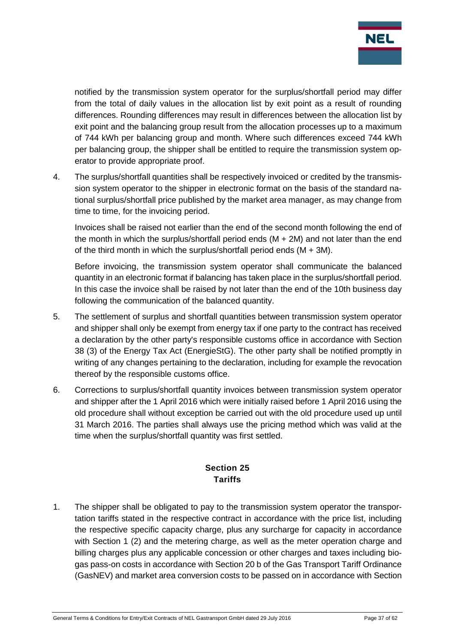

notified by the transmission system operator for the surplus/shortfall period may differ from the total of daily values in the allocation list by exit point as a result of rounding differences. Rounding differences may result in differences between the allocation list by exit point and the balancing group result from the allocation processes up to a maximum of 744 kWh per balancing group and month. Where such differences exceed 744 kWh per balancing group, the shipper shall be entitled to require the transmission system operator to provide appropriate proof.

4. The surplus/shortfall quantities shall be respectively invoiced or credited by the transmission system operator to the shipper in electronic format on the basis of the standard national surplus/shortfall price published by the market area manager, as may change from time to time, for the invoicing period.

Invoices shall be raised not earlier than the end of the second month following the end of the month in which the surplus/shortfall period ends (M + 2M) and not later than the end of the third month in which the surplus/shortfall period ends  $(M + 3M)$ .

Before invoicing, the transmission system operator shall communicate the balanced quantity in an electronic format if balancing has taken place in the surplus/shortfall period. In this case the invoice shall be raised by not later than the end of the 10th business day following the communication of the balanced quantity.

- 5. The settlement of surplus and shortfall quantities between transmission system operator and shipper shall only be exempt from energy tax if one party to the contract has received a declaration by the other party's responsible customs office in accordance with Section 38 (3) of the Energy Tax Act (EnergieStG). The other party shall be notified promptly in writing of any changes pertaining to the declaration, including for example the revocation thereof by the responsible customs office.
- 6. Corrections to surplus/shortfall quantity invoices between transmission system operator and shipper after the 1 April 2016 which were initially raised before 1 April 2016 using the old procedure shall without exception be carried out with the old procedure used up until 31 March 2016. The parties shall always use the pricing method which was valid at the time when the surplus/shortfall quantity was first settled.

## **Section 25 Tariffs**

<span id="page-36-0"></span>1. The shipper shall be obligated to pay to the transmission system operator the transportation tariffs stated in the respective contract in accordance with the price list, including the respective specific capacity charge, plus any surcharge for capacity in accordance with Section 1 (2) and the metering charge, as well as the meter operation charge and billing charges plus any applicable concession or other charges and taxes including biogas pass-on costs in accordance with Section 20 b of the Gas Transport Tariff Ordinance (GasNEV) and market area conversion costs to be passed on in accordance with Section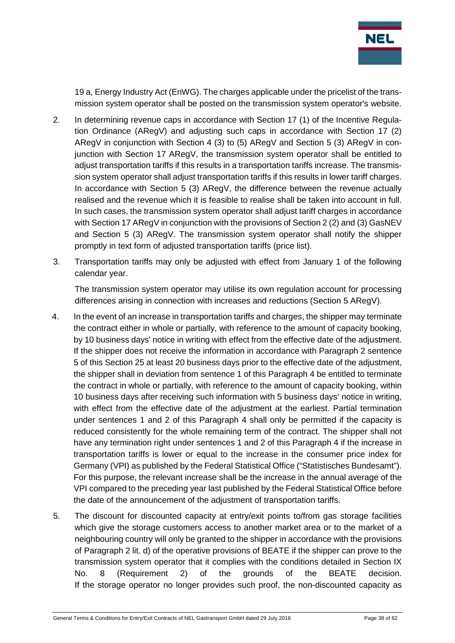

19 a, Energy Industry Act (EnWG). The charges applicable under the pricelist of the transmission system operator shall be posted on the transmission system operator's website.

- 2. In determining revenue caps in accordance with Section 17 (1) of the Incentive Regulation Ordinance (ARegV) and adjusting such caps in accordance with Section 17 (2) ARegV in conjunction with Section 4 (3) to (5) ARegV and Section 5 (3) ARegV in conjunction with Section 17 ARegV, the transmission system operator shall be entitled to adjust transportation tariffs if this results in a transportation tariffs increase. The transmission system operator shall adjust transportation tariffs if this results in lower tariff charges. In accordance with Section 5 (3) ARegV, the difference between the revenue actually realised and the revenue which it is feasible to realise shall be taken into account in full. In such cases, the transmission system operator shall adjust tariff charges in accordance with Section 17 ARegV in conjunction with the provisions of Section 2 (2) and (3) GasNEV and Section 5 (3) ARegV. The transmission system operator shall notify the shipper promptly in text form of adjusted transportation tariffs (price list).
- 3. Transportation tariffs may only be adjusted with effect from January 1 of the following calendar year.

The transmission system operator may utilise its own regulation account for processing differences arising in connection with increases and reductions (Section 5 ARegV).

- 4. In the event of an increase in transportation tariffs and charges, the shipper may terminate the contract either in whole or partially, with reference to the amount of capacity booking, by 10 business days' notice in writing with effect from the effective date of the adjustment. If the shipper does not receive the information in accordance with Paragraph 2 sentence 5 of this Section 25 at least 20 business days prior to the effective date of the adjustment, the shipper shall in deviation from sentence 1 of this Paragraph 4 be entitled to terminate the contract in whole or partially, with reference to the amount of capacity booking, within 10 business days after receiving such information with 5 business days' notice in writing, with effect from the effective date of the adjustment at the earliest. Partial termination under sentences 1 and 2 of this Paragraph 4 shall only be permitted if the capacity is reduced consistently for the whole remaining term of the contract. The shipper shall not have any termination right under sentences 1 and 2 of this Paragraph 4 if the increase in transportation tariffs is lower or equal to the increase in the consumer price index for Germany (VPI) as published by the Federal Statistical Office ("Statistisches Bundesamt"). For this purpose, the relevant increase shall be the increase in the annual average of the VPI compared to the preceding year last published by the Federal Statistical Office before the date of the announcement of the adjustment of transportation tariffs.
- 5. The discount for discounted capacity at entry/exit points to/from gas storage facilities which give the storage customers access to another market area or to the market of a neighbouring country will only be granted to the shipper in accordance with the provisions of Paragraph 2 lit. d) of the operative provisions of BEATE if the shipper can prove to the transmission system operator that it complies with the conditions detailed in Section IX No. 8 (Requirement 2) of the grounds of the BEATE decision. If the storage operator no longer provides such proof, the non-discounted capacity as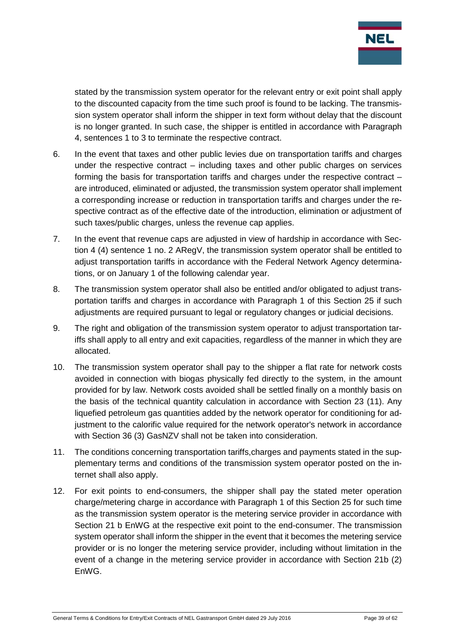

stated by the transmission system operator for the relevant entry or exit point shall apply to the discounted capacity from the time such proof is found to be lacking. The transmission system operator shall inform the shipper in text form without delay that the discount is no longer granted. In such case, the shipper is entitled in accordance with Paragraph 4, sentences 1 to 3 to terminate the respective contract.

- 6. In the event that taxes and other public levies due on transportation tariffs and charges under the respective contract – including taxes and other public charges on services forming the basis for transportation tariffs and charges under the respective contract – are introduced, eliminated or adjusted, the transmission system operator shall implement a corresponding increase or reduction in transportation tariffs and charges under the respective contract as of the effective date of the introduction, elimination or adjustment of such taxes/public charges, unless the revenue cap applies.
- 7. In the event that revenue caps are adjusted in view of hardship in accordance with Section 4 (4) sentence 1 no. 2 ARegV, the transmission system operator shall be entitled to adjust transportation tariffs in accordance with the Federal Network Agency determinations, or on January 1 of the following calendar year.
- 8. The transmission system operator shall also be entitled and/or obligated to adjust transportation tariffs and charges in accordance with Paragraph 1 of this Section 25 if such adjustments are required pursuant to legal or regulatory changes or judicial decisions.
- 9. The right and obligation of the transmission system operator to adjust transportation tariffs shall apply to all entry and exit capacities, regardless of the manner in which they are allocated.
- 10. The transmission system operator shall pay to the shipper a flat rate for network costs avoided in connection with biogas physically fed directly to the system, in the amount provided for by law. Network costs avoided shall be settled finally on a monthly basis on the basis of the technical quantity calculation in accordance with Section 23 (11). Any liquefied petroleum gas quantities added by the network operator for conditioning for adjustment to the calorific value required for the network operator's network in accordance with Section 36 (3) GasNZV shall not be taken into consideration.
- 11. The conditions concerning transportation tariffs,charges and payments stated in the supplementary terms and conditions of the transmission system operator posted on the internet shall also apply.
- 12. For exit points to end-consumers, the shipper shall pay the stated meter operation charge/metering charge in accordance with Paragraph 1 of this Section 25 for such time as the transmission system operator is the metering service provider in accordance with Section 21 b EnWG at the respective exit point to the end-consumer. The transmission system operator shall inform the shipper in the event that it becomes the metering service provider or is no longer the metering service provider, including without limitation in the event of a change in the metering service provider in accordance with Section 21b (2) EnWG.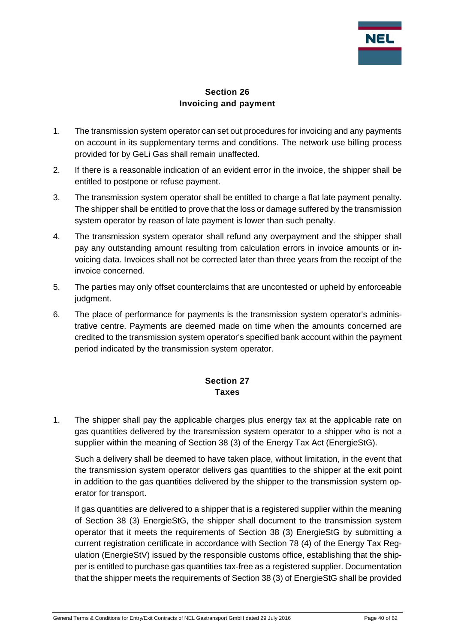

### **Section 26 Invoicing and payment**

- <span id="page-39-0"></span>1. The transmission system operator can set out procedures for invoicing and any payments on account in its supplementary terms and conditions. The network use billing process provided for by GeLi Gas shall remain unaffected.
- 2. If there is a reasonable indication of an evident error in the invoice, the shipper shall be entitled to postpone or refuse payment.
- 3. The transmission system operator shall be entitled to charge a flat late payment penalty. The shipper shall be entitled to prove that the loss or damage suffered by the transmission system operator by reason of late payment is lower than such penalty.
- 4. The transmission system operator shall refund any overpayment and the shipper shall pay any outstanding amount resulting from calculation errors in invoice amounts or invoicing data. Invoices shall not be corrected later than three years from the receipt of the invoice concerned.
- 5. The parties may only offset counterclaims that are uncontested or upheld by enforceable judament.
- 6. The place of performance for payments is the transmission system operator's administrative centre. Payments are deemed made on time when the amounts concerned are credited to the transmission system operator's specified bank account within the payment period indicated by the transmission system operator.

## **Section 27 Taxes**

<span id="page-39-1"></span>1. The shipper shall pay the applicable charges plus energy tax at the applicable rate on gas quantities delivered by the transmission system operator to a shipper who is not a supplier within the meaning of Section 38 (3) of the Energy Tax Act (EnergieStG).

Such a delivery shall be deemed to have taken place, without limitation, in the event that the transmission system operator delivers gas quantities to the shipper at the exit point in addition to the gas quantities delivered by the shipper to the transmission system operator for transport.

If gas quantities are delivered to a shipper that is a registered supplier within the meaning of Section 38 (3) EnergieStG, the shipper shall document to the transmission system operator that it meets the requirements of Section 38 (3) EnergieStG by submitting a current registration certificate in accordance with Section 78 (4) of the Energy Tax Regulation (EnergieStV) issued by the responsible customs office, establishing that the shipper is entitled to purchase gas quantities tax-free as a registered supplier. Documentation that the shipper meets the requirements of Section 38 (3) of EnergieStG shall be provided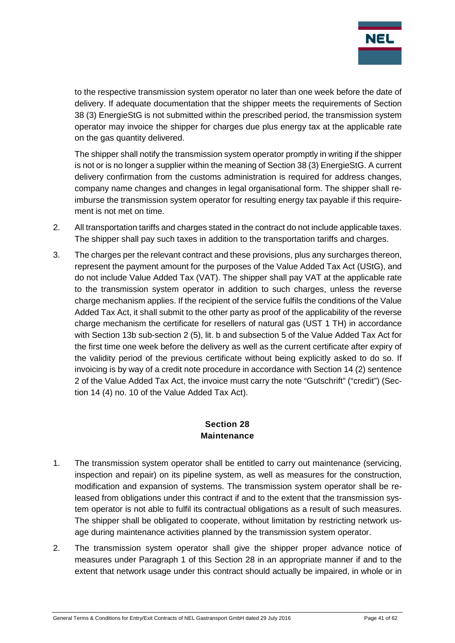

to the respective transmission system operator no later than one week before the date of delivery. If adequate documentation that the shipper meets the requirements of Section 38 (3) EnergieStG is not submitted within the prescribed period, the transmission system operator may invoice the shipper for charges due plus energy tax at the applicable rate on the gas quantity delivered.

The shipper shall notify the transmission system operator promptly in writing if the shipper is not or is no longer a supplier within the meaning of Section 38 (3) EnergieStG. A current delivery confirmation from the customs administration is required for address changes, company name changes and changes in legal organisational form. The shipper shall reimburse the transmission system operator for resulting energy tax payable if this requirement is not met on time.

- 2. All transportation tariffs and charges stated in the contract do not include applicable taxes. The shipper shall pay such taxes in addition to the transportation tariffs and charges.
- 3. The charges per the relevant contract and these provisions, plus any surcharges thereon, represent the payment amount for the purposes of the Value Added Tax Act (UStG), and do not include Value Added Tax (VAT). The shipper shall pay VAT at the applicable rate to the transmission system operator in addition to such charges, unless the reverse charge mechanism applies. If the recipient of the service fulfils the conditions of the Value Added Tax Act, it shall submit to the other party as proof of the applicability of the reverse charge mechanism the certificate for resellers of natural gas (UST 1 TH) in accordance with Section 13b sub-section 2 (5), lit. b and subsection 5 of the Value Added Tax Act for the first time one week before the delivery as well as the current certificate after expiry of the validity period of the previous certificate without being explicitly asked to do so. If invoicing is by way of a credit note procedure in accordance with Section 14 (2) sentence 2 of the Value Added Tax Act, the invoice must carry the note "Gutschrift" ("credit") (Section 14 (4) no. 10 of the Value Added Tax Act).

#### **Section 28 Maintenance**

- <span id="page-40-0"></span>1. The transmission system operator shall be entitled to carry out maintenance (servicing, inspection and repair) on its pipeline system, as well as measures for the construction, modification and expansion of systems. The transmission system operator shall be released from obligations under this contract if and to the extent that the transmission system operator is not able to fulfil its contractual obligations as a result of such measures. The shipper shall be obligated to cooperate, without limitation by restricting network usage during maintenance activities planned by the transmission system operator.
- 2. The transmission system operator shall give the shipper proper advance notice of measures under Paragraph 1 of this Section 28 in an appropriate manner if and to the extent that network usage under this contract should actually be impaired, in whole or in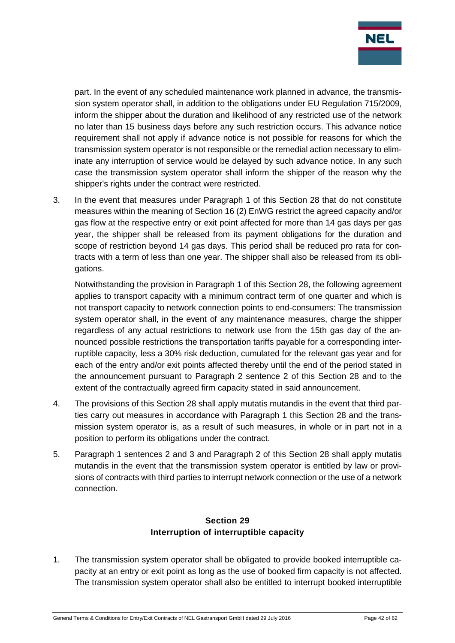

part. In the event of any scheduled maintenance work planned in advance, the transmission system operator shall, in addition to the obligations under EU Regulation 715/2009, inform the shipper about the duration and likelihood of any restricted use of the network no later than 15 business days before any such restriction occurs. This advance notice requirement shall not apply if advance notice is not possible for reasons for which the transmission system operator is not responsible or the remedial action necessary to eliminate any interruption of service would be delayed by such advance notice. In any such case the transmission system operator shall inform the shipper of the reason why the shipper's rights under the contract were restricted.

3. In the event that measures under Paragraph 1 of this Section 28 that do not constitute measures within the meaning of Section 16 (2) EnWG restrict the agreed capacity and/or gas flow at the respective entry or exit point affected for more than 14 gas days per gas year, the shipper shall be released from its payment obligations for the duration and scope of restriction beyond 14 gas days. This period shall be reduced pro rata for contracts with a term of less than one year. The shipper shall also be released from its obligations.

Notwithstanding the provision in Paragraph 1 of this Section 28, the following agreement applies to transport capacity with a minimum contract term of one quarter and which is not transport capacity to network connection points to end-consumers: The transmission system operator shall, in the event of any maintenance measures, charge the shipper regardless of any actual restrictions to network use from the 15th gas day of the announced possible restrictions the transportation tariffs payable for a corresponding interruptible capacity, less a 30% risk deduction, cumulated for the relevant gas year and for each of the entry and/or exit points affected thereby until the end of the period stated in the announcement pursuant to Paragraph 2 sentence 2 of this Section 28 and to the extent of the contractually agreed firm capacity stated in said announcement.

- 4. The provisions of this Section 28 shall apply mutatis mutandis in the event that third parties carry out measures in accordance with Paragraph 1 this Section 28 and the transmission system operator is, as a result of such measures, in whole or in part not in a position to perform its obligations under the contract.
- 5. Paragraph 1 sentences 2 and 3 and Paragraph 2 of this Section 28 shall apply mutatis mutandis in the event that the transmission system operator is entitled by law or provisions of contracts with third parties to interrupt network connection or the use of a network connection.

## **Section 29 Interruption of interruptible capacity**

<span id="page-41-0"></span>1. The transmission system operator shall be obligated to provide booked interruptible capacity at an entry or exit point as long as the use of booked firm capacity is not affected. The transmission system operator shall also be entitled to interrupt booked interruptible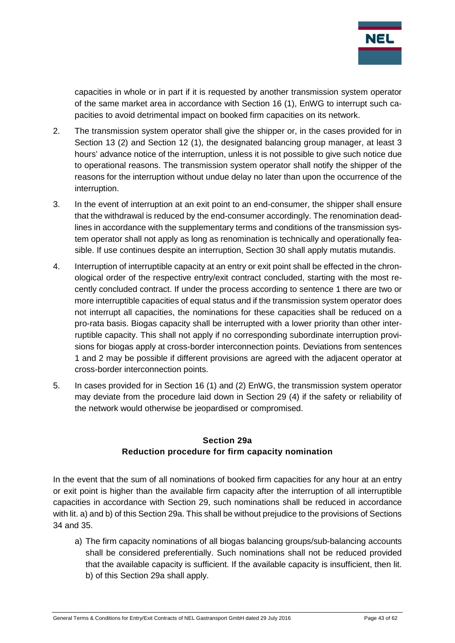

capacities in whole or in part if it is requested by another transmission system operator of the same market area in accordance with Section 16 (1), EnWG to interrupt such capacities to avoid detrimental impact on booked firm capacities on its network.

- 2. The transmission system operator shall give the shipper or, in the cases provided for in Section 13 (2) and Section 12 (1), the designated balancing group manager, at least 3 hours' advance notice of the interruption, unless it is not possible to give such notice due to operational reasons. The transmission system operator shall notify the shipper of the reasons for the interruption without undue delay no later than upon the occurrence of the interruption.
- 3. In the event of interruption at an exit point to an end-consumer, the shipper shall ensure that the withdrawal is reduced by the end-consumer accordingly. The renomination deadlines in accordance with the supplementary terms and conditions of the transmission system operator shall not apply as long as renomination is technically and operationally feasible. If use continues despite an interruption, Section 30 shall apply mutatis mutandis.
- 4. Interruption of interruptible capacity at an entry or exit point shall be effected in the chronological order of the respective entry/exit contract concluded, starting with the most recently concluded contract. If under the process according to sentence 1 there are two or more interruptible capacities of equal status and if the transmission system operator does not interrupt all capacities, the nominations for these capacities shall be reduced on a pro-rata basis. Biogas capacity shall be interrupted with a lower priority than other interruptible capacity. This shall not apply if no corresponding subordinate interruption provisions for biogas apply at cross-border interconnection points. Deviations from sentences 1 and 2 may be possible if different provisions are agreed with the adjacent operator at cross-border interconnection points.
- 5. In cases provided for in Section 16 (1) and (2) EnWG, the transmission system operator may deviate from the procedure laid down in Section 29 (4) if the safety or reliability of the network would otherwise be jeopardised or compromised.

## **Section 29a Reduction procedure for firm capacity nomination**

<span id="page-42-0"></span>In the event that the sum of all nominations of booked firm capacities for any hour at an entry or exit point is higher than the available firm capacity after the interruption of all interruptible capacities in accordance with Section 29, such nominations shall be reduced in accordance with lit. a) and b) of this Section 29a. This shall be without prejudice to the provisions of Sections 34 and 35.

a) The firm capacity nominations of all biogas balancing groups/sub-balancing accounts shall be considered preferentially. Such nominations shall not be reduced provided that the available capacity is sufficient. If the available capacity is insufficient, then lit. b) of this Section 29a shall apply.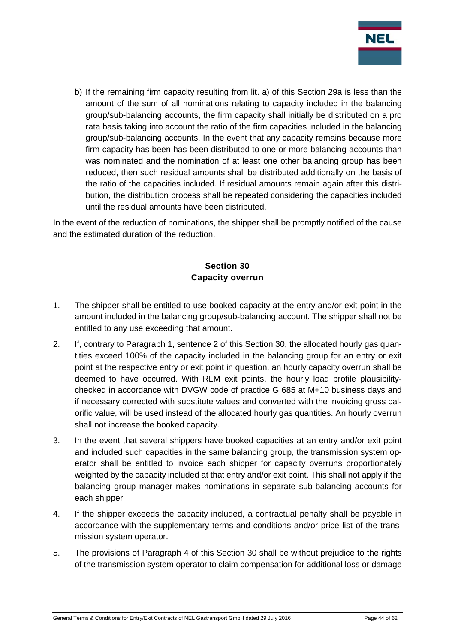

b) If the remaining firm capacity resulting from lit. a) of this Section 29a is less than the amount of the sum of all nominations relating to capacity included in the balancing group/sub-balancing accounts, the firm capacity shall initially be distributed on a pro rata basis taking into account the ratio of the firm capacities included in the balancing group/sub-balancing accounts. In the event that any capacity remains because more firm capacity has been has been distributed to one or more balancing accounts than was nominated and the nomination of at least one other balancing group has been reduced, then such residual amounts shall be distributed additionally on the basis of the ratio of the capacities included. If residual amounts remain again after this distribution, the distribution process shall be repeated considering the capacities included until the residual amounts have been distributed.

In the event of the reduction of nominations, the shipper shall be promptly notified of the cause and the estimated duration of the reduction.

## **Section 30 Capacity overrun**

- <span id="page-43-0"></span>1. The shipper shall be entitled to use booked capacity at the entry and/or exit point in the amount included in the balancing group/sub-balancing account. The shipper shall not be entitled to any use exceeding that amount.
- 2. If, contrary to Paragraph 1, sentence 2 of this Section 30, the allocated hourly gas quantities exceed 100% of the capacity included in the balancing group for an entry or exit point at the respective entry or exit point in question, an hourly capacity overrun shall be deemed to have occurred. With RLM exit points, the hourly load profile plausibilitychecked in accordance with DVGW code of practice G 685 at M+10 business days and if necessary corrected with substitute values and converted with the invoicing gross calorific value, will be used instead of the allocated hourly gas quantities. An hourly overrun shall not increase the booked capacity.
- 3. In the event that several shippers have booked capacities at an entry and/or exit point and included such capacities in the same balancing group, the transmission system operator shall be entitled to invoice each shipper for capacity overruns proportionately weighted by the capacity included at that entry and/or exit point. This shall not apply if the balancing group manager makes nominations in separate sub-balancing accounts for each shipper.
- 4. If the shipper exceeds the capacity included, a contractual penalty shall be payable in accordance with the supplementary terms and conditions and/or price list of the transmission system operator.
- 5. The provisions of Paragraph 4 of this Section 30 shall be without prejudice to the rights of the transmission system operator to claim compensation for additional loss or damage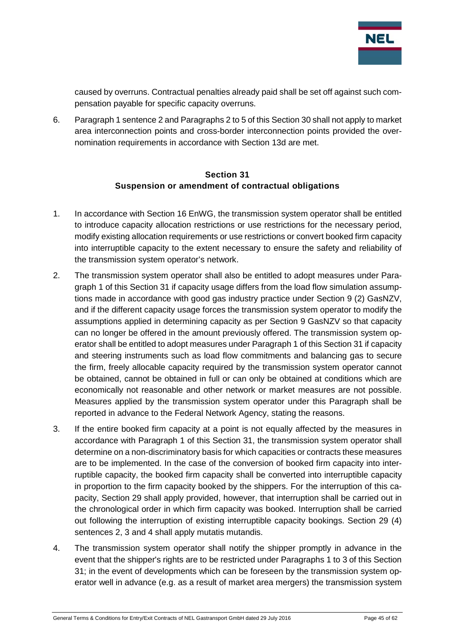

caused by overruns. Contractual penalties already paid shall be set off against such compensation payable for specific capacity overruns.

6. Paragraph 1 sentence 2 and Paragraphs 2 to 5 of this Section 30 shall not apply to market area interconnection points and cross-border interconnection points provided the overnomination requirements in accordance with Section 13d are met.

#### **Section 31 Suspension or amendment of contractual obligations**

- <span id="page-44-0"></span>1. In accordance with Section 16 EnWG, the transmission system operator shall be entitled to introduce capacity allocation restrictions or use restrictions for the necessary period, modify existing allocation requirements or use restrictions or convert booked firm capacity into interruptible capacity to the extent necessary to ensure the safety and reliability of the transmission system operator's network.
- 2. The transmission system operator shall also be entitled to adopt measures under Paragraph 1 of this Section 31 if capacity usage differs from the load flow simulation assumptions made in accordance with good gas industry practice under Section 9 (2) GasNZV, and if the different capacity usage forces the transmission system operator to modify the assumptions applied in determining capacity as per Section 9 GasNZV so that capacity can no longer be offered in the amount previously offered. The transmission system operator shall be entitled to adopt measures under Paragraph 1 of this Section 31 if capacity and steering instruments such as load flow commitments and balancing gas to secure the firm, freely allocable capacity required by the transmission system operator cannot be obtained, cannot be obtained in full or can only be obtained at conditions which are economically not reasonable and other network or market measures are not possible. Measures applied by the transmission system operator under this Paragraph shall be reported in advance to the Federal Network Agency, stating the reasons.
- 3. If the entire booked firm capacity at a point is not equally affected by the measures in accordance with Paragraph 1 of this Section 31, the transmission system operator shall determine on a non-discriminatory basis for which capacities or contracts these measures are to be implemented. In the case of the conversion of booked firm capacity into interruptible capacity, the booked firm capacity shall be converted into interruptible capacity in proportion to the firm capacity booked by the shippers. For the interruption of this capacity, Section 29 shall apply provided, however, that interruption shall be carried out in the chronological order in which firm capacity was booked. Interruption shall be carried out following the interruption of existing interruptible capacity bookings. Section 29 (4) sentences 2, 3 and 4 shall apply mutatis mutandis.
- 4. The transmission system operator shall notify the shipper promptly in advance in the event that the shipper's rights are to be restricted under Paragraphs 1 to 3 of this Section 31; in the event of developments which can be foreseen by the transmission system operator well in advance (e.g. as a result of market area mergers) the transmission system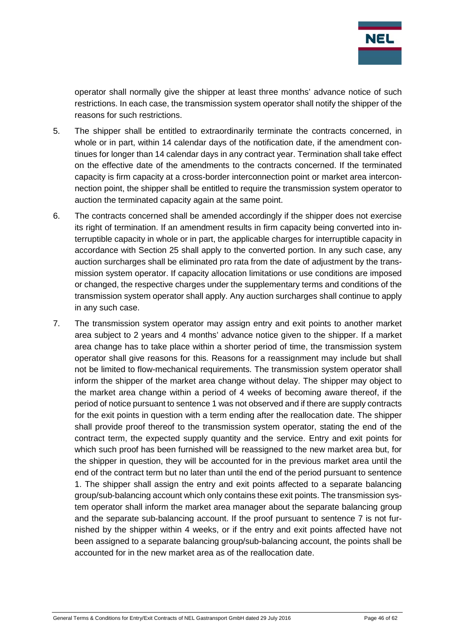

operator shall normally give the shipper at least three months' advance notice of such restrictions. In each case, the transmission system operator shall notify the shipper of the reasons for such restrictions.

- 5. The shipper shall be entitled to extraordinarily terminate the contracts concerned, in whole or in part, within 14 calendar days of the notification date, if the amendment continues for longer than 14 calendar days in any contract year. Termination shall take effect on the effective date of the amendments to the contracts concerned. If the terminated capacity is firm capacity at a cross-border interconnection point or market area interconnection point, the shipper shall be entitled to require the transmission system operator to auction the terminated capacity again at the same point.
- 6. The contracts concerned shall be amended accordingly if the shipper does not exercise its right of termination. If an amendment results in firm capacity being converted into interruptible capacity in whole or in part, the applicable charges for interruptible capacity in accordance with Section 25 shall apply to the converted portion. In any such case, any auction surcharges shall be eliminated pro rata from the date of adjustment by the transmission system operator. If capacity allocation limitations or use conditions are imposed or changed, the respective charges under the supplementary terms and conditions of the transmission system operator shall apply. Any auction surcharges shall continue to apply in any such case.
- 7. The transmission system operator may assign entry and exit points to another market area subject to 2 years and 4 months' advance notice given to the shipper. If a market area change has to take place within a shorter period of time, the transmission system operator shall give reasons for this. Reasons for a reassignment may include but shall not be limited to flow-mechanical requirements. The transmission system operator shall inform the shipper of the market area change without delay. The shipper may object to the market area change within a period of 4 weeks of becoming aware thereof, if the period of notice pursuant to sentence 1 was not observed and if there are supply contracts for the exit points in question with a term ending after the reallocation date. The shipper shall provide proof thereof to the transmission system operator, stating the end of the contract term, the expected supply quantity and the service. Entry and exit points for which such proof has been furnished will be reassigned to the new market area but, for the shipper in question, they will be accounted for in the previous market area until the end of the contract term but no later than until the end of the period pursuant to sentence 1. The shipper shall assign the entry and exit points affected to a separate balancing group/sub-balancing account which only contains these exit points. The transmission system operator shall inform the market area manager about the separate balancing group and the separate sub-balancing account. If the proof pursuant to sentence 7 is not furnished by the shipper within 4 weeks, or if the entry and exit points affected have not been assigned to a separate balancing group/sub-balancing account, the points shall be accounted for in the new market area as of the reallocation date.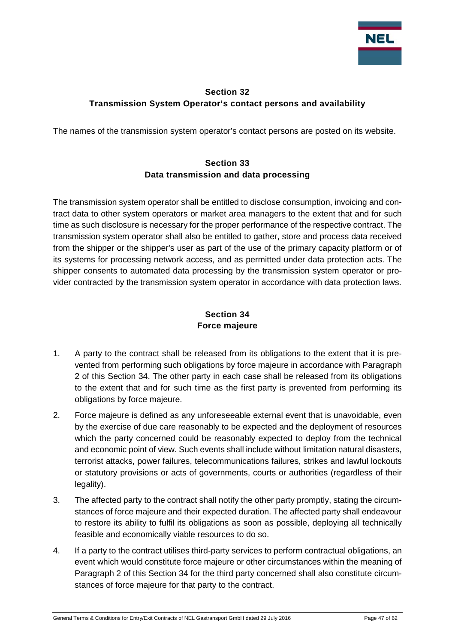

## <span id="page-46-0"></span>**Section 32 Transmission System Operator's contact persons and availability**

<span id="page-46-1"></span>The names of the transmission system operator's contact persons are posted on its website.

## **Section 33 Data transmission and data processing**

The transmission system operator shall be entitled to disclose consumption, invoicing and contract data to other system operators or market area managers to the extent that and for such time as such disclosure is necessary for the proper performance of the respective contract. The transmission system operator shall also be entitled to gather, store and process data received from the shipper or the shipper's user as part of the use of the primary capacity platform or of its systems for processing network access, and as permitted under data protection acts. The shipper consents to automated data processing by the transmission system operator or provider contracted by the transmission system operator in accordance with data protection laws.

## **Section 34 Force majeure**

- <span id="page-46-2"></span>1. A party to the contract shall be released from its obligations to the extent that it is prevented from performing such obligations by force majeure in accordance with Paragraph 2 of this Section 34. The other party in each case shall be released from its obligations to the extent that and for such time as the first party is prevented from performing its obligations by force majeure.
- 2. Force majeure is defined as any unforeseeable external event that is unavoidable, even by the exercise of due care reasonably to be expected and the deployment of resources which the party concerned could be reasonably expected to deploy from the technical and economic point of view. Such events shall include without limitation natural disasters, terrorist attacks, power failures, telecommunications failures, strikes and lawful lockouts or statutory provisions or acts of governments, courts or authorities (regardless of their legality).
- 3. The affected party to the contract shall notify the other party promptly, stating the circumstances of force majeure and their expected duration. The affected party shall endeavour to restore its ability to fulfil its obligations as soon as possible, deploying all technically feasible and economically viable resources to do so.
- 4. If a party to the contract utilises third-party services to perform contractual obligations, an event which would constitute force majeure or other circumstances within the meaning of Paragraph 2 of this Section 34 for the third party concerned shall also constitute circumstances of force majeure for that party to the contract.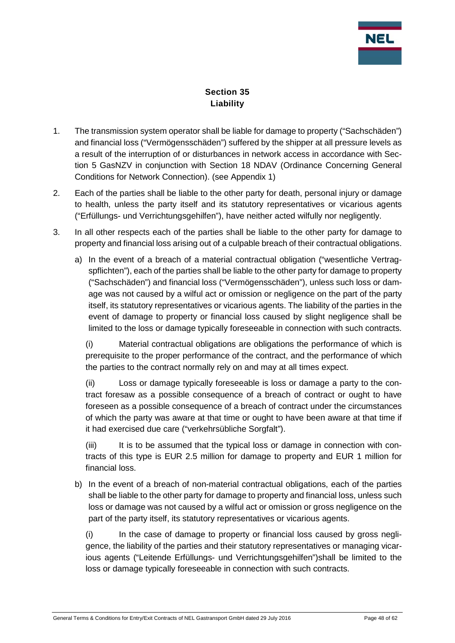

## **Section 35 Liability**

- <span id="page-47-0"></span>1. The transmission system operator shall be liable for damage to property ("Sachschäden") and financial loss ("Vermögensschäden") suffered by the shipper at all pressure levels as a result of the interruption of or disturbances in network access in accordance with Section 5 GasNZV in conjunction with Section 18 NDAV (Ordinance Concerning General Conditions for Network Connection). (see Appendix 1)
- 2. Each of the parties shall be liable to the other party for death, personal injury or damage to health, unless the party itself and its statutory representatives or vicarious agents ("Erfüllungs- und Verrichtungsgehilfen"), have neither acted wilfully nor negligently.
- 3. In all other respects each of the parties shall be liable to the other party for damage to property and financial loss arising out of a culpable breach of their contractual obligations.
	- a) In the event of a breach of a material contractual obligation ("wesentliche Vertragspflichten"), each of the parties shall be liable to the other party for damage to property ("Sachschäden") and financial loss ("Vermögensschäden"), unless such loss or damage was not caused by a wilful act or omission or negligence on the part of the party itself, its statutory representatives or vicarious agents. The liability of the parties in the event of damage to property or financial loss caused by slight negligence shall be limited to the loss or damage typically foreseeable in connection with such contracts.

(i) Material contractual obligations are obligations the performance of which is prerequisite to the proper performance of the contract, and the performance of which the parties to the contract normally rely on and may at all times expect.

(ii) Loss or damage typically foreseeable is loss or damage a party to the contract foresaw as a possible consequence of a breach of contract or ought to have foreseen as a possible consequence of a breach of contract under the circumstances of which the party was aware at that time or ought to have been aware at that time if it had exercised due care ("verkehrsübliche Sorgfalt").

(iii) It is to be assumed that the typical loss or damage in connection with contracts of this type is EUR 2.5 million for damage to property and EUR 1 million for financial loss.

b) In the event of a breach of non-material contractual obligations, each of the parties shall be liable to the other party for damage to property and financial loss, unless such loss or damage was not caused by a wilful act or omission or gross negligence on the part of the party itself, its statutory representatives or vicarious agents.

(i) In the case of damage to property or financial loss caused by gross negligence, the liability of the parties and their statutory representatives or managing vicarious agents ("Leitende Erfüllungs- und Verrichtungsgehilfen")shall be limited to the loss or damage typically foreseeable in connection with such contracts.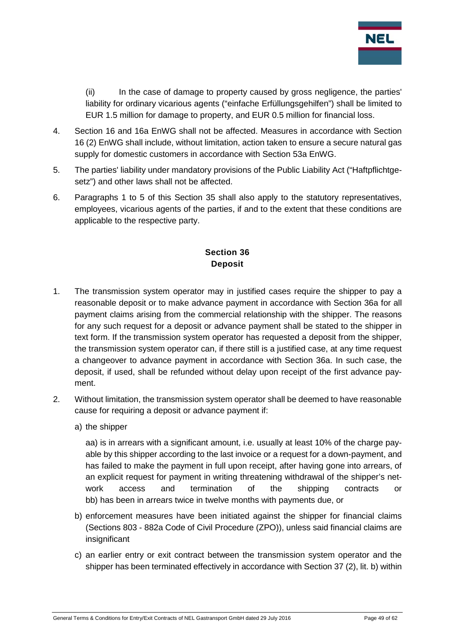

(ii) In the case of damage to property caused by gross negligence, the parties' liability for ordinary vicarious agents ("einfache Erfüllungsgehilfen") shall be limited to EUR 1.5 million for damage to property, and EUR 0.5 million for financial loss.

- 4. Section 16 and 16a EnWG shall not be affected. Measures in accordance with Section 16 (2) EnWG shall include, without limitation, action taken to ensure a secure natural gas supply for domestic customers in accordance with Section 53a EnWG.
- 5. The parties' liability under mandatory provisions of the Public Liability Act ("Haftpflichtgesetz") and other laws shall not be affected.
- 6. Paragraphs 1 to 5 of this Section 35 shall also apply to the statutory representatives, employees, vicarious agents of the parties, if and to the extent that these conditions are applicable to the respective party.

## **Section 36 Deposit**

- <span id="page-48-0"></span>1. The transmission system operator may in justified cases require the shipper to pay a reasonable deposit or to make advance payment in accordance with Section 36a for all payment claims arising from the commercial relationship with the shipper. The reasons for any such request for a deposit or advance payment shall be stated to the shipper in text form. If the transmission system operator has requested a deposit from the shipper, the transmission system operator can, if there still is a justified case, at any time request a changeover to advance payment in accordance with Section 36a. In such case, the deposit, if used, shall be refunded without delay upon receipt of the first advance payment.
- 2. Without limitation, the transmission system operator shall be deemed to have reasonable cause for requiring a deposit or advance payment if:
	- a) the shipper

aa) is in arrears with a significant amount, i.e. usually at least 10% of the charge payable by this shipper according to the last invoice or a request for a down-payment, and has failed to make the payment in full upon receipt, after having gone into arrears, of an explicit request for payment in writing threatening withdrawal of the shipper's network access and termination of the shipping contracts or bb) has been in arrears twice in twelve months with payments due, or

- b) enforcement measures have been initiated against the shipper for financial claims (Sections 803 - 882a Code of Civil Procedure (ZPO)), unless said financial claims are insignificant
- c) an earlier entry or exit contract between the transmission system operator and the shipper has been terminated effectively in accordance with Section 37 (2), lit. b) within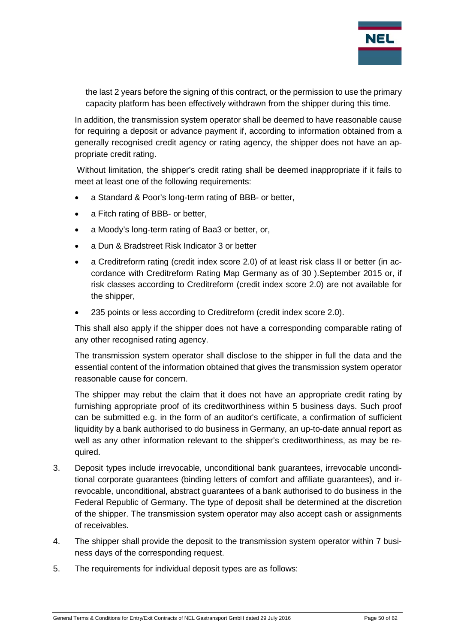

the last 2 years before the signing of this contract, or the permission to use the primary capacity platform has been effectively withdrawn from the shipper during this time.

In addition, the transmission system operator shall be deemed to have reasonable cause for requiring a deposit or advance payment if, according to information obtained from a generally recognised credit agency or rating agency, the shipper does not have an appropriate credit rating.

Without limitation, the shipper's credit rating shall be deemed inappropriate if it fails to meet at least one of the following requirements:

- a Standard & Poor's long-term rating of BBB- or better,
- a Fitch rating of BBB- or better,
- a Moody's long-term rating of Baa3 or better, or,
- a Dun & Bradstreet Risk Indicator 3 or better
- a Creditreform rating (credit index score 2.0) of at least risk class II or better (in accordance with Creditreform Rating Map Germany as of 30 ).September 2015 or, if risk classes according to Creditreform (credit index score 2.0) are not available for the shipper,
- 235 points or less according to Creditreform (credit index score 2.0).

This shall also apply if the shipper does not have a corresponding comparable rating of any other recognised rating agency.

The transmission system operator shall disclose to the shipper in full the data and the essential content of the information obtained that gives the transmission system operator reasonable cause for concern.

The shipper may rebut the claim that it does not have an appropriate credit rating by furnishing appropriate proof of its creditworthiness within 5 business days. Such proof can be submitted e.g. in the form of an auditor's certificate, a confirmation of sufficient liquidity by a bank authorised to do business in Germany, an up-to-date annual report as well as any other information relevant to the shipper's creditworthiness, as may be required.

- 3. Deposit types include irrevocable, unconditional bank guarantees, irrevocable unconditional corporate guarantees (binding letters of comfort and affiliate guarantees), and irrevocable, unconditional, abstract guarantees of a bank authorised to do business in the Federal Republic of Germany. The type of deposit shall be determined at the discretion of the shipper. The transmission system operator may also accept cash or assignments of receivables.
- 4. The shipper shall provide the deposit to the transmission system operator within 7 business days of the corresponding request.
- 5. The requirements for individual deposit types are as follows: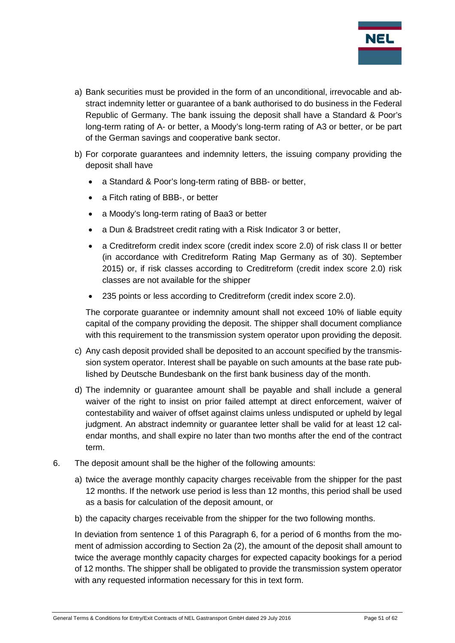

- a) Bank securities must be provided in the form of an unconditional, irrevocable and abstract indemnity letter or guarantee of a bank authorised to do business in the Federal Republic of Germany. The bank issuing the deposit shall have a Standard & Poor's long-term rating of A- or better, a Moody's long-term rating of A3 or better, or be part of the German savings and cooperative bank sector.
- b) For corporate guarantees and indemnity letters, the issuing company providing the deposit shall have
	- a Standard & Poor's long-term rating of BBB- or better,
	- a Fitch rating of BBB-, or better
	- a Moody's long-term rating of Baa3 or better
	- a Dun & Bradstreet credit rating with a Risk Indicator 3 or better,
	- a Creditreform credit index score (credit index score 2.0) of risk class II or better (in accordance with Creditreform Rating Map Germany as of 30). September 2015) or, if risk classes according to Creditreform (credit index score 2.0) risk classes are not available for the shipper
	- 235 points or less according to Creditreform (credit index score 2.0).

The corporate guarantee or indemnity amount shall not exceed 10% of liable equity capital of the company providing the deposit. The shipper shall document compliance with this requirement to the transmission system operator upon providing the deposit.

- c) Any cash deposit provided shall be deposited to an account specified by the transmission system operator. Interest shall be payable on such amounts at the base rate published by Deutsche Bundesbank on the first bank business day of the month.
- d) The indemnity or guarantee amount shall be payable and shall include a general waiver of the right to insist on prior failed attempt at direct enforcement, waiver of contestability and waiver of offset against claims unless undisputed or upheld by legal judgment. An abstract indemnity or guarantee letter shall be valid for at least 12 calendar months, and shall expire no later than two months after the end of the contract term.
- 6. The deposit amount shall be the higher of the following amounts:
	- a) twice the average monthly capacity charges receivable from the shipper for the past 12 months. If the network use period is less than 12 months, this period shall be used as a basis for calculation of the deposit amount, or
	- b) the capacity charges receivable from the shipper for the two following months.

In deviation from sentence 1 of this Paragraph 6, for a period of 6 months from the moment of admission according to Section 2a (2), the amount of the deposit shall amount to twice the average monthly capacity charges for expected capacity bookings for a period of 12 months. The shipper shall be obligated to provide the transmission system operator with any requested information necessary for this in text form.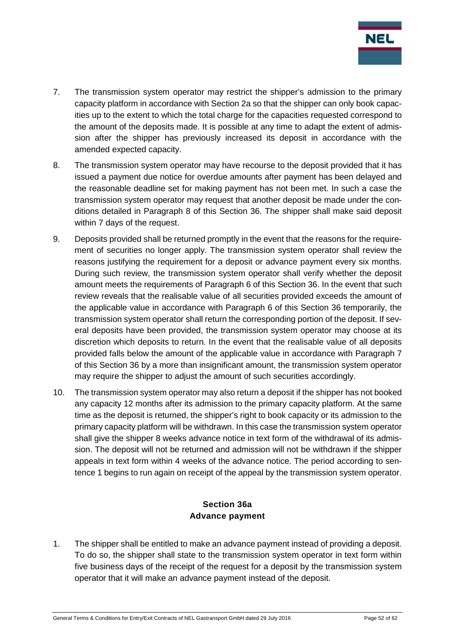

- 7. The transmission system operator may restrict the shipper's admission to the primary capacity platform in accordance with Section 2a so that the shipper can only book capacities up to the extent to which the total charge for the capacities requested correspond to the amount of the deposits made. It is possible at any time to adapt the extent of admission after the shipper has previously increased its deposit in accordance with the amended expected capacity.
- 8. The transmission system operator may have recourse to the deposit provided that it has issued a payment due notice for overdue amounts after payment has been delayed and the reasonable deadline set for making payment has not been met. In such a case the transmission system operator may request that another deposit be made under the conditions detailed in Paragraph 8 of this Section 36. The shipper shall make said deposit within 7 days of the request.
- 9. Deposits provided shall be returned promptly in the event that the reasons for the requirement of securities no longer apply. The transmission system operator shall review the reasons justifying the requirement for a deposit or advance payment every six months. During such review, the transmission system operator shall verify whether the deposit amount meets the requirements of Paragraph 6 of this Section 36. In the event that such review reveals that the realisable value of all securities provided exceeds the amount of the applicable value in accordance with Paragraph 6 of this Section 36 temporarily, the transmission system operator shall return the corresponding portion of the deposit. If several deposits have been provided, the transmission system operator may choose at its discretion which deposits to return. In the event that the realisable value of all deposits provided falls below the amount of the applicable value in accordance with Paragraph 7 of this Section 36 by a more than insignificant amount, the transmission system operator may require the shipper to adjust the amount of such securities accordingly.
- 10. The transmission system operator may also return a deposit if the shipper has not booked any capacity 12 months after its admission to the primary capacity platform. At the same time as the deposit is returned, the shipper's right to book capacity or its admission to the primary capacity platform will be withdrawn. In this case the transmission system operator shall give the shipper 8 weeks advance notice in text form of the withdrawal of its admission. The deposit will not be returned and admission will not be withdrawn if the shipper appeals in text form within 4 weeks of the advance notice. The period according to sentence 1 begins to run again on receipt of the appeal by the transmission system operator.

#### **Section 36a Advance payment**

<span id="page-51-0"></span>1. The shipper shall be entitled to make an advance payment instead of providing a deposit. To do so, the shipper shall state to the transmission system operator in text form within five business days of the receipt of the request for a deposit by the transmission system operator that it will make an advance payment instead of the deposit.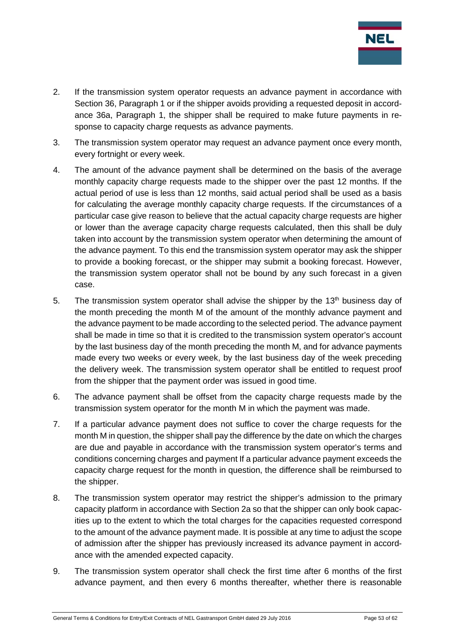

- 2. If the transmission system operator requests an advance payment in accordance with Section 36, Paragraph 1 or if the shipper avoids providing a requested deposit in accordance 36a, Paragraph 1, the shipper shall be required to make future payments in response to capacity charge requests as advance payments.
- 3. The transmission system operator may request an advance payment once every month, every fortnight or every week.
- 4. The amount of the advance payment shall be determined on the basis of the average monthly capacity charge requests made to the shipper over the past 12 months. If the actual period of use is less than 12 months, said actual period shall be used as a basis for calculating the average monthly capacity charge requests. If the circumstances of a particular case give reason to believe that the actual capacity charge requests are higher or lower than the average capacity charge requests calculated, then this shall be duly taken into account by the transmission system operator when determining the amount of the advance payment. To this end the transmission system operator may ask the shipper to provide a booking forecast, or the shipper may submit a booking forecast. However, the transmission system operator shall not be bound by any such forecast in a given case.
- 5. The transmission system operator shall advise the shipper by the 13<sup>th</sup> business day of the month preceding the month M of the amount of the monthly advance payment and the advance payment to be made according to the selected period. The advance payment shall be made in time so that it is credited to the transmission system operator's account by the last business day of the month preceding the month M, and for advance payments made every two weeks or every week, by the last business day of the week preceding the delivery week. The transmission system operator shall be entitled to request proof from the shipper that the payment order was issued in good time.
- 6. The advance payment shall be offset from the capacity charge requests made by the transmission system operator for the month M in which the payment was made.
- 7. If a particular advance payment does not suffice to cover the charge requests for the month M in question, the shipper shall pay the difference by the date on which the charges are due and payable in accordance with the transmission system operator's terms and conditions concerning charges and payment If a particular advance payment exceeds the capacity charge request for the month in question, the difference shall be reimbursed to the shipper.
- 8. The transmission system operator may restrict the shipper's admission to the primary capacity platform in accordance with Section 2a so that the shipper can only book capacities up to the extent to which the total charges for the capacities requested correspond to the amount of the advance payment made. It is possible at any time to adjust the scope of admission after the shipper has previously increased its advance payment in accordance with the amended expected capacity.
- 9. The transmission system operator shall check the first time after 6 months of the first advance payment, and then every 6 months thereafter, whether there is reasonable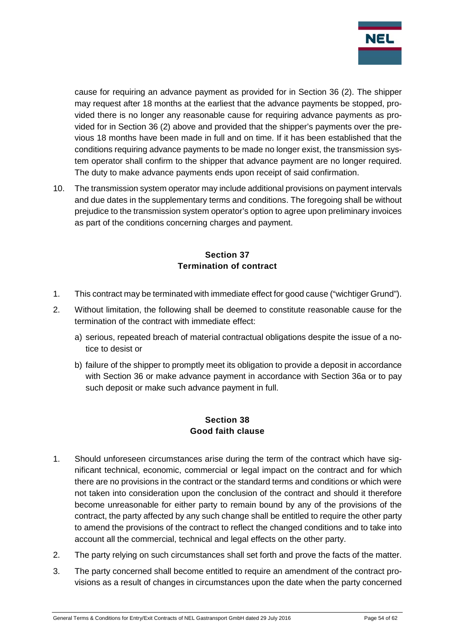

cause for requiring an advance payment as provided for in Section 36 (2). The shipper may request after 18 months at the earliest that the advance payments be stopped, provided there is no longer any reasonable cause for requiring advance payments as provided for in Section 36 (2) above and provided that the shipper's payments over the previous 18 months have been made in full and on time. If it has been established that the conditions requiring advance payments to be made no longer exist, the transmission system operator shall confirm to the shipper that advance payment are no longer required. The duty to make advance payments ends upon receipt of said confirmation.

10. The transmission system operator may include additional provisions on payment intervals and due dates in the supplementary terms and conditions. The foregoing shall be without prejudice to the transmission system operator's option to agree upon preliminary invoices as part of the conditions concerning charges and payment.

## **Section 37 Termination of contract**

- <span id="page-53-0"></span>1. This contract may be terminated with immediate effect for good cause ("wichtiger Grund").
- 2. Without limitation, the following shall be deemed to constitute reasonable cause for the termination of the contract with immediate effect:
	- a) serious, repeated breach of material contractual obligations despite the issue of a notice to desist or
	- b) failure of the shipper to promptly meet its obligation to provide a deposit in accordance with Section 36 or make advance payment in accordance with Section 36a or to pay such deposit or make such advance payment in full.

#### **Section 38 Good faith clause**

- <span id="page-53-1"></span>1. Should unforeseen circumstances arise during the term of the contract which have significant technical, economic, commercial or legal impact on the contract and for which there are no provisions in the contract or the standard terms and conditions or which were not taken into consideration upon the conclusion of the contract and should it therefore become unreasonable for either party to remain bound by any of the provisions of the contract, the party affected by any such change shall be entitled to require the other party to amend the provisions of the contract to reflect the changed conditions and to take into account all the commercial, technical and legal effects on the other party.
- 2. The party relying on such circumstances shall set forth and prove the facts of the matter.
- 3. The party concerned shall become entitled to require an amendment of the contract provisions as a result of changes in circumstances upon the date when the party concerned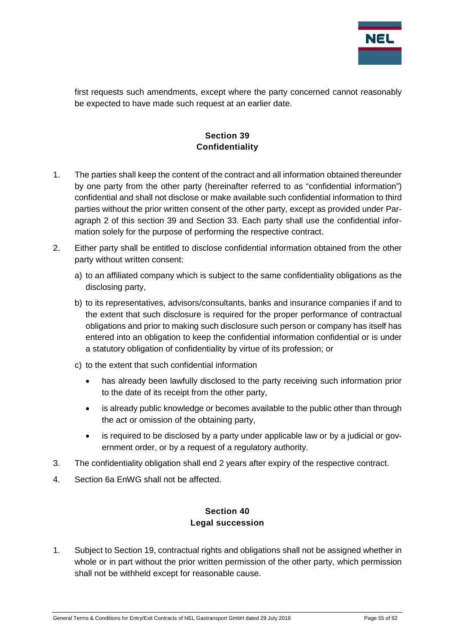

first requests such amendments, except where the party concerned cannot reasonably be expected to have made such request at an earlier date.

## **Section 39 Confidentiality**

- <span id="page-54-0"></span>1. The parties shall keep the content of the contract and all information obtained thereunder by one party from the other party (hereinafter referred to as "confidential information") confidential and shall not disclose or make available such confidential information to third parties without the prior written consent of the other party, except as provided under Paragraph 2 of this section 39 and Section 33. Each party shall use the confidential information solely for the purpose of performing the respective contract.
- 2. Either party shall be entitled to disclose confidential information obtained from the other party without written consent:
	- a) to an affiliated company which is subject to the same confidentiality obligations as the disclosing party,
	- b) to its representatives, advisors/consultants, banks and insurance companies if and to the extent that such disclosure is required for the proper performance of contractual obligations and prior to making such disclosure such person or company has itself has entered into an obligation to keep the confidential information confidential or is under a statutory obligation of confidentiality by virtue of its profession; or
	- c) to the extent that such confidential information
		- has already been lawfully disclosed to the party receiving such information prior to the date of its receipt from the other party,
		- is already public knowledge or becomes available to the public other than through the act or omission of the obtaining party,
		- is required to be disclosed by a party under applicable law or by a judicial or government order, or by a request of a regulatory authority.
- 3. The confidentiality obligation shall end 2 years after expiry of the respective contract.
- <span id="page-54-1"></span>4. Section 6a EnWG shall not be affected.

#### **Section 40 Legal succession**

1. Subject to Section 19, contractual rights and obligations shall not be assigned whether in whole or in part without the prior written permission of the other party, which permission shall not be withheld except for reasonable cause.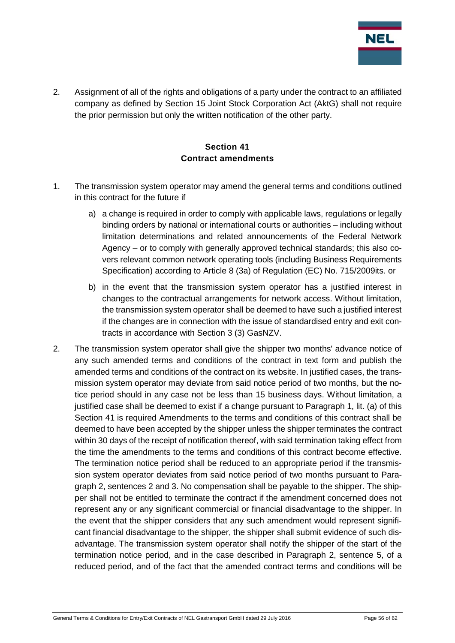

2. Assignment of all of the rights and obligations of a party under the contract to an affiliated company as defined by Section 15 Joint Stock Corporation Act (AktG) shall not require the prior permission but only the written notification of the other party.

#### **Section 41 Contract amendments**

- <span id="page-55-0"></span>1. The transmission system operator may amend the general terms and conditions outlined in this contract for the future if
	- a) a change is required in order to comply with applicable laws, regulations or legally binding orders by national or international courts or authorities – including without limitation determinations and related announcements of the Federal Network Agency – or to comply with generally approved technical standards; this also covers relevant common network operating tools (including Business Requirements Specification) according to Article 8 (3a) of Regulation (EC) No. 715/2009its. or
	- b) in the event that the transmission system operator has a justified interest in changes to the contractual arrangements for network access. Without limitation, the transmission system operator shall be deemed to have such a justified interest if the changes are in connection with the issue of standardised entry and exit contracts in accordance with Section 3 (3) GasNZV.
- 2. The transmission system operator shall give the shipper two months' advance notice of any such amended terms and conditions of the contract in text form and publish the amended terms and conditions of the contract on its website. In justified cases, the transmission system operator may deviate from said notice period of two months, but the notice period should in any case not be less than 15 business days. Without limitation, a justified case shall be deemed to exist if a change pursuant to Paragraph 1, lit. (a) of this Section 41 is required Amendments to the terms and conditions of this contract shall be deemed to have been accepted by the shipper unless the shipper terminates the contract within 30 days of the receipt of notification thereof, with said termination taking effect from the time the amendments to the terms and conditions of this contract become effective. The termination notice period shall be reduced to an appropriate period if the transmission system operator deviates from said notice period of two months pursuant to Paragraph 2, sentences 2 and 3. No compensation shall be payable to the shipper. The shipper shall not be entitled to terminate the contract if the amendment concerned does not represent any or any significant commercial or financial disadvantage to the shipper. In the event that the shipper considers that any such amendment would represent significant financial disadvantage to the shipper, the shipper shall submit evidence of such disadvantage. The transmission system operator shall notify the shipper of the start of the termination notice period, and in the case described in Paragraph 2, sentence 5, of a reduced period, and of the fact that the amended contract terms and conditions will be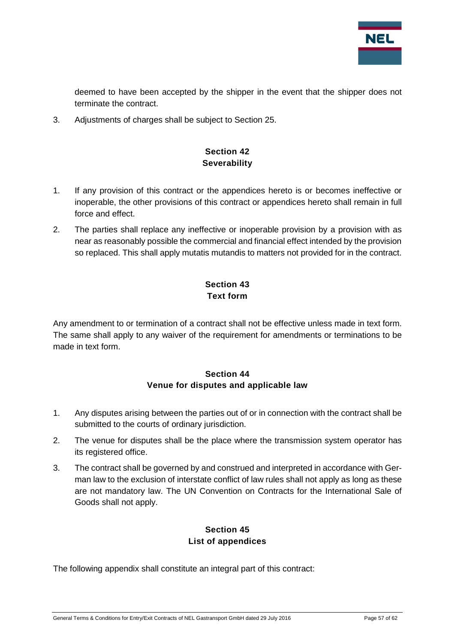

deemed to have been accepted by the shipper in the event that the shipper does not terminate the contract.

<span id="page-56-0"></span>3. Adjustments of charges shall be subject to Section 25.

## **Section 42 Severability**

- 1. If any provision of this contract or the appendices hereto is or becomes ineffective or inoperable, the other provisions of this contract or appendices hereto shall remain in full force and effect.
- 2. The parties shall replace any ineffective or inoperable provision by a provision with as near as reasonably possible the commercial and financial effect intended by the provision so replaced. This shall apply mutatis mutandis to matters not provided for in the contract.

## **Section 43 Text form**

<span id="page-56-1"></span>Any amendment to or termination of a contract shall not be effective unless made in text form. The same shall apply to any waiver of the requirement for amendments or terminations to be made in text form.

#### **Section 44 Venue for disputes and applicable law**

- <span id="page-56-2"></span>1. Any disputes arising between the parties out of or in connection with the contract shall be submitted to the courts of ordinary jurisdiction.
- 2. The venue for disputes shall be the place where the transmission system operator has its registered office.
- 3. The contract shall be governed by and construed and interpreted in accordance with German law to the exclusion of interstate conflict of law rules shall not apply as long as these are not mandatory law. The UN Convention on Contracts for the International Sale of Goods shall not apply.

## **Section 45 List of appendices**

<span id="page-56-3"></span>The following appendix shall constitute an integral part of this contract: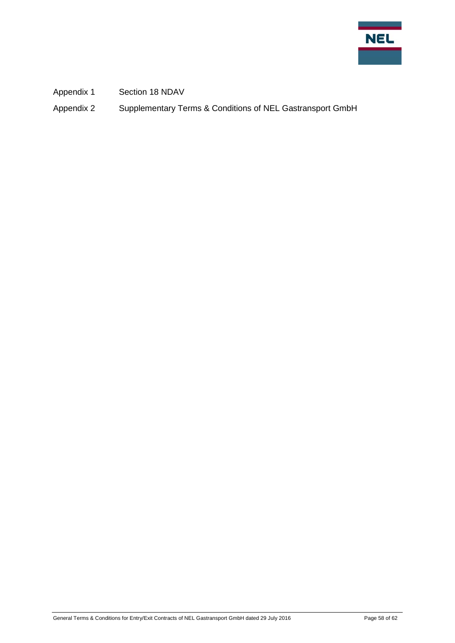

Appendix 1 Section 18 NDAV

Appendix 2 Supplementary Terms & Conditions of NEL Gastransport GmbH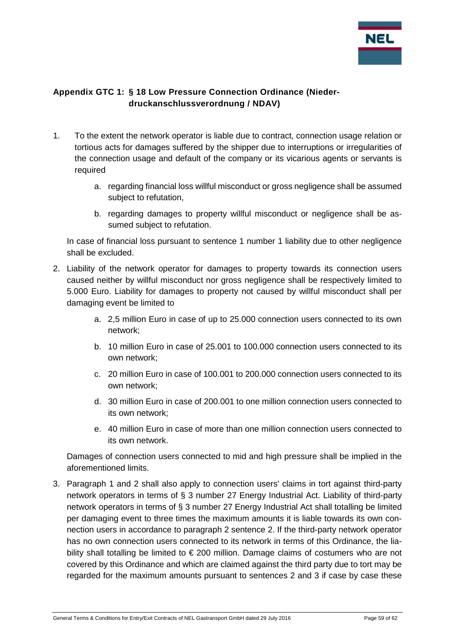

## <span id="page-58-0"></span>**Appendix GTC 1: § 18 Low Pressure Connection Ordinance (Niederdruckanschlussverordnung / NDAV)**

- 1. To the extent the network operator is liable due to contract, connection usage relation or tortious acts for damages suffered by the shipper due to interruptions or irregularities of the connection usage and default of the company or its vicarious agents or servants is required
	- a. regarding financial loss willful misconduct or gross negligence shall be assumed subject to refutation,
	- b. regarding damages to property willful misconduct or negligence shall be assumed subject to refutation.

In case of financial loss pursuant to sentence 1 number 1 liability due to other negligence shall be excluded.

- 2. Liability of the network operator for damages to property towards its connection users caused neither by willful misconduct nor gross negligence shall be respectively limited to 5.000 Euro. Liability for damages to property not caused by willful misconduct shall per damaging event be limited to
	- a. 2,5 million Euro in case of up to 25.000 connection users connected to its own network;
	- b. 10 million Euro in case of 25.001 to 100.000 connection users connected to its own network;
	- c. 20 million Euro in case of 100.001 to 200.000 connection users connected to its own network;
	- d. 30 million Euro in case of 200.001 to one million connection users connected to its own network;
	- e. 40 million Euro in case of more than one million connection users connected to its own network.

Damages of connection users connected to mid and high pressure shall be implied in the aforementioned limits.

3. Paragraph 1 and 2 shall also apply to connection users' claims in tort against third-party network operators in terms of § 3 number 27 Energy Industrial Act. Liability of third-party network operators in terms of § 3 number 27 Energy Industrial Act shall totalling be limited per damaging event to three times the maximum amounts it is liable towards its own connection users in accordance to paragraph 2 sentence 2. If the third-party network operator has no own connection users connected to its network in terms of this Ordinance, the liability shall totalling be limited to € 200 million. Damage claims of costumers who are not covered by this Ordinance and which are claimed against the third party due to tort may be regarded for the maximum amounts pursuant to sentences 2 and 3 if case by case these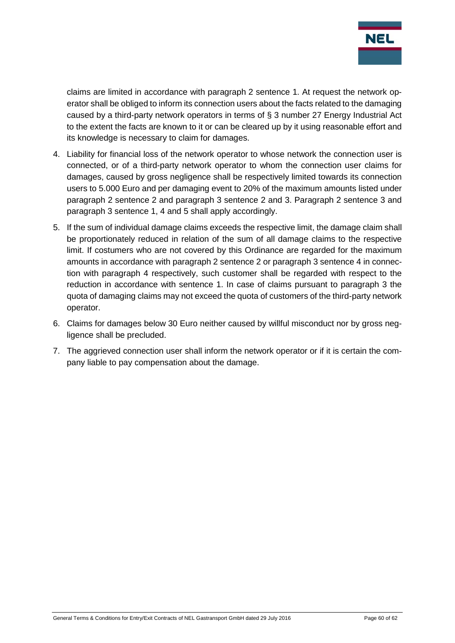

claims are limited in accordance with paragraph 2 sentence 1. At request the network operator shall be obliged to inform its connection users about the facts related to the damaging caused by a third-party network operators in terms of § 3 number 27 Energy Industrial Act to the extent the facts are known to it or can be cleared up by it using reasonable effort and its knowledge is necessary to claim for damages.

- 4. Liability for financial loss of the network operator to whose network the connection user is connected, or of a third-party network operator to whom the connection user claims for damages, caused by gross negligence shall be respectively limited towards its connection users to 5.000 Euro and per damaging event to 20% of the maximum amounts listed under paragraph 2 sentence 2 and paragraph 3 sentence 2 and 3. Paragraph 2 sentence 3 and paragraph 3 sentence 1, 4 and 5 shall apply accordingly.
- 5. If the sum of individual damage claims exceeds the respective limit, the damage claim shall be proportionately reduced in relation of the sum of all damage claims to the respective limit. If costumers who are not covered by this Ordinance are regarded for the maximum amounts in accordance with paragraph 2 sentence 2 or paragraph 3 sentence 4 in connection with paragraph 4 respectively, such customer shall be regarded with respect to the reduction in accordance with sentence 1. In case of claims pursuant to paragraph 3 the quota of damaging claims may not exceed the quota of customers of the third-party network operator.
- 6. Claims for damages below 30 Euro neither caused by willful misconduct nor by gross negligence shall be precluded.
- 7. The aggrieved connection user shall inform the network operator or if it is certain the company liable to pay compensation about the damage.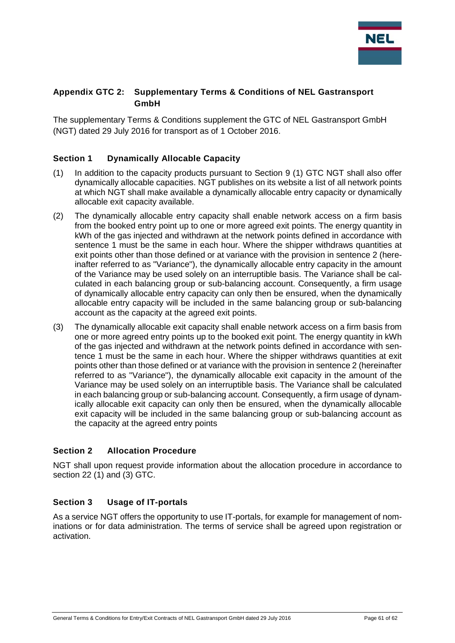

#### <span id="page-60-0"></span>**Appendix GTC 2: Supplementary Terms & Conditions of NEL Gastransport GmbH**

The supplementary Terms & Conditions supplement the GTC of NEL Gastransport GmbH (NGT) dated 29 July 2016 for transport as of 1 October 2016.

#### <span id="page-60-1"></span>**Section 1 Dynamically Allocable Capacity**

- (1) In addition to the capacity products pursuant to Section 9 (1) GTC NGT shall also offer dynamically allocable capacities. NGT publishes on its website a list of all network points at which NGT shall make available a dynamically allocable entry capacity or dynamically allocable exit capacity available.
- (2) The dynamically allocable entry capacity shall enable network access on a firm basis from the booked entry point up to one or more agreed exit points. The energy quantity in kWh of the gas injected and withdrawn at the network points defined in accordance with sentence 1 must be the same in each hour. Where the shipper withdraws quantities at exit points other than those defined or at variance with the provision in sentence 2 (hereinafter referred to as "Variance"), the dynamically allocable entry capacity in the amount of the Variance may be used solely on an interruptible basis. The Variance shall be calculated in each balancing group or sub-balancing account. Consequently, a firm usage of dynamically allocable entry capacity can only then be ensured, when the dynamically allocable entry capacity will be included in the same balancing group or sub-balancing account as the capacity at the agreed exit points.
- (3) The dynamically allocable exit capacity shall enable network access on a firm basis from one or more agreed entry points up to the booked exit point. The energy quantity in kWh of the gas injected and withdrawn at the network points defined in accordance with sentence 1 must be the same in each hour. Where the shipper withdraws quantities at exit points other than those defined or at variance with the provision in sentence 2 (hereinafter referred to as "Variance"), the dynamically allocable exit capacity in the amount of the Variance may be used solely on an interruptible basis. The Variance shall be calculated in each balancing group or sub-balancing account. Consequently, a firm usage of dynamically allocable exit capacity can only then be ensured, when the dynamically allocable exit capacity will be included in the same balancing group or sub-balancing account as the capacity at the agreed entry points

#### <span id="page-60-2"></span>**Section 2 Allocation Procedure**

NGT shall upon request provide information about the allocation procedure in accordance to section 22 (1) and (3) GTC.

#### <span id="page-60-3"></span>**Section 3 Usage of IT-portals**

As a service NGT offers the opportunity to use IT-portals, for example for management of nominations or for data administration. The terms of service shall be agreed upon registration or activation.